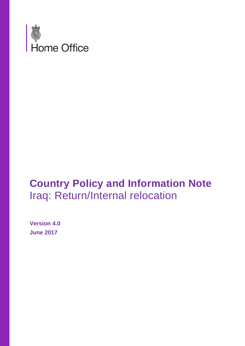

# **Country Policy and Information Note**  Iraq: Return/Internal relocation

**Version 4.0 June 2017**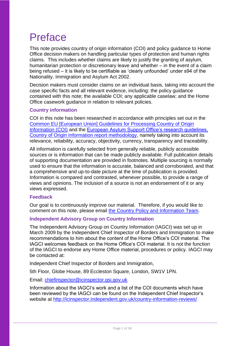# Preface

This note provides country of origin information (COI) and policy guidance to Home Office decision makers on handling particular types of protection and human rights claims. This includes whether claims are likely to justify the granting of asylum, humanitarian protection or discretionary leave and whether – in the event of a claim being refused – it is likely to be certifiable as 'clearly unfounded' under s94 of the Nationality, Immigration and Asylum Act 2002.

Decision makers must consider claims on an individual basis, taking into account the case specific facts and all relevant evidence, including: the policy guidance contained with this note; the available COI; any applicable caselaw; and the Home Office casework guidance in relation to relevant policies.

### **Country information**

COI in this note has been researched in accordance with principles set out in the Common EU [European Union] Guidelines for Processing Country of Origin [Information \(COI\)](http://www.refworld.org/cgi-bin/texis/vtx/rwmain?page=search&docid=48493f7f2&skip=0&query=eu%20common%20guidelines%20on%20COi) and the [European Asylum Support Office's research guidelines,](http://ec.europa.eu/dgs/home-affairs/what-we-do/policies/asylum/european-asylum-support-office/coireportmethodologyfinallayout_en.pdf)  [Country of Origin Information report methodology,](http://ec.europa.eu/dgs/home-affairs/what-we-do/policies/asylum/european-asylum-support-office/coireportmethodologyfinallayout_en.pdf) namely taking into account its relevance, reliability, accuracy, objectivity, currency, transparency and traceability.

All information is carefully selected from generally reliable, publicly accessible sources or is information that can be made publicly available. Full publication details of supporting documentation are provided in footnotes. Multiple sourcing is normally used to ensure that the information is accurate, balanced and corroborated, and that a comprehensive and up-to-date picture at the time of publication is provided. Information is compared and contrasted, whenever possible, to provide a range of views and opinions. The inclusion of a source is not an endorsement of it or any views expressed.

#### **Feedback**

Our goal is to continuously improve our material. Therefore, if you would like to comment on this note, please email [the Country Policy and Information Team.](mailto:cois@homeoffice.gsi.gov.uk)

#### **Independent Advisory Group on Country Information**

The Independent Advisory Group on Country Information (IAGCI) was set up in March 2009 by the Independent Chief Inspector of Borders and Immigration to make recommendations to him about the content of the Home Office's COI material. The IAGCI welcomes feedback on the Home Office's COI material. It is not the function of the IAGCI to endorse any Home Office material, procedures or policy. IAGCI may be contacted at:

Independent Chief Inspector of Borders and Immigration,

5th Floor, Globe House, 89 Eccleston Square, London, SW1V 1PN.

Email: [chiefinspector@icinspector.gsi.gov.uk](mailto:chiefinspector@icinspector.gsi.gov.uk)

Information about the IAGCI's work and a list of the COI documents which have been reviewed by the IAGCI can be found on the Independent Chief Inspector's website at <http://icinspector.independent.gov.uk/country-information-reviews/>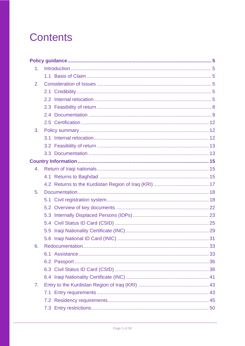# **Contents**

| 1 <sub>1</sub> |  |  |  |  |
|----------------|--|--|--|--|
|                |  |  |  |  |
| 2.             |  |  |  |  |
|                |  |  |  |  |
|                |  |  |  |  |
|                |  |  |  |  |
|                |  |  |  |  |
|                |  |  |  |  |
| 3.             |  |  |  |  |
|                |  |  |  |  |
|                |  |  |  |  |
|                |  |  |  |  |
|                |  |  |  |  |
| 4.             |  |  |  |  |
|                |  |  |  |  |
|                |  |  |  |  |
| 5.             |  |  |  |  |
|                |  |  |  |  |
|                |  |  |  |  |
|                |  |  |  |  |
|                |  |  |  |  |
|                |  |  |  |  |
|                |  |  |  |  |
| 6.             |  |  |  |  |
|                |  |  |  |  |
|                |  |  |  |  |
|                |  |  |  |  |
|                |  |  |  |  |
| 7.             |  |  |  |  |
|                |  |  |  |  |
|                |  |  |  |  |
|                |  |  |  |  |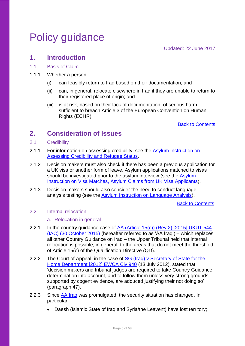# <span id="page-4-0"></span>Policy guidance

Updated: 22 June 2017

## <span id="page-4-1"></span>**1. Introduction**

#### <span id="page-4-2"></span>1.1 Basis of Claim

- 1.1.1 Whether a person:
	- (i) can feasibly return to Iraq based on their documentation; and
	- (ii) can, in general, relocate elsewhere in Iraq if they are unable to return to their registered place of origin; and
	- (iii) is at risk, based on their lack of documentation, of serious harm sufficient to breach Article 3 of the European Convention on Human Rights (ECHR)

Back to Contents

# <span id="page-4-3"></span>**2. Consideration of Issues**

- <span id="page-4-4"></span>2.1 Credibility
- 2.1.1 For information on assessing credibility, see the Asylum Instruction on [Assessing Credibility and Refugee Status.](https://www.gov.uk/government/publications/considering-asylum-claims-and-assessing-credibility-instruction)
- 2.1.2 Decision makers must also check if there has been a previous application for a UK visa or another form of leave. Asylum applications matched to visas should be investigated prior to the asylum interview (see the Asylum [Instruction on Visa Matches, Asylum Claims from UK Visa Applicants\)](https://www.gov.uk/government/publications/visa-matches-handling-asylum-claims-from-uk-visa-applicants-instruction).
- 2.1.3 Decision makers should also consider the need to conduct language analysis testing (see the [Asylum Instruction on Language Analysis\)](https://www.gov.uk/government/publications/language-analysis-instruction).

Back to Contents

#### <span id="page-4-5"></span>2.2 Internal relocation

#### a. Relocation in general

- 2.2.1 In the country guidance case of AA (Article 15(c)) (Rev 2) [2015] UKUT 544 [\(IAC\) \(30 October 2015\)](http://www.bailii.org/uk/cases/UKUT/IAC/2015/544.html) (hereafter referred to as 'AA Iraq') – which replaces all other Country Guidance on Iraq – the Upper Tribunal held that internal relocation is possible, in general, to the areas that do not meet the threshold of Article 15(c) of the Qualification Directive (QD).
- 2.2.2 The Court of Appeal, in the case of SG (Iraq) v Secretary of State for the [Home Department \[2012\] EWCA Civ 940](http://www.bailii.org/ew/cases/EWCA/Civ/2012/940.html) (13 July 2012), stated that 'decision makers and tribunal judges are required to take Country Guidance determination into account, and to follow them unless very strong grounds supported by cogent evidence, are adduced justifying their not doing so' (paragraph 47).
- 2.2.3 Since AA Irag was promulgated, the security situation has changed. In particular:
	- Daesh (Islamic State of Iraq and Svria/the Leavent) have lost territory: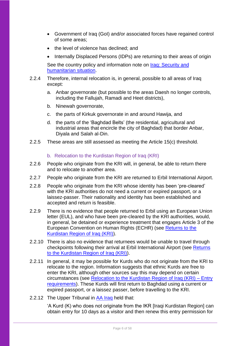- Government of Iraq (GoI) and/or associated forces have regained control of some areas;
- the level of violence has declined; and
- Internally Displaced Persons (IDPs) are returning to their areas of origin

See the country policy and information note on *Iraq: Security and* [humanitarian situation.](https://www.gov.uk/government/publications/iraq-country-policy-and-information-notes)

- 2.2.4 Therefore, internal relocation is, in general, possible to all areas of Iraq except:
	- a. Anbar governorate (but possible to the areas Daesh no longer controls, including the Fallujah, Ramadi and Heet districts),
	- b. Ninewah governorate,
	- c. the parts of Kirkuk governorate in and around Hawija, and
	- d. the parts of the 'Baghdad Belts' (the residential, agricultural and industrial areas that encircle the city of Baghdad) that border Anbar, Diyala and Salah al-Din.
- 2.2.5 These areas are still assessed as meeting the Article 15(c) threshold.

#### b. Relocation to the Kurdistan Region of Iraq (KRI)

- 2.2.6 People who originate from the KRI will, in general, be able to return there and to relocate to another area.
- 2.2.7 People who originate from the KRI are returned to Erbil International Airport.
- 2.2.8 People who originate from the KRI whose identity has been 'pre-cleared' with the KRI authorities do not need a current or expired passport, or a laissez-passer. Their nationality and identity has been established and accepted and return is feasible.
- 2.2.9 There is no evidence that people returned to Erbil using an European Union letter (EUL), and who have been pre-cleared by the KRI authorities, would, in general, be detained or experience treatment that engages Article 3 of the European Convention on Human Rights (ECHR) (see [Returns to the](#page-16-0)  [Kurdistan Region of Iraq \(KRI\)\)](#page-16-0).
- 2.2.10 There is also no evidence that returnees would be unable to travel through checkpoints following their arrival at Erbil International Airport (see [Returns](#page-16-0)  [to the Kurdistan Region of Iraq \(KRI\)\)](#page-16-0).
- 2.2.11 In general, it may be possible for Kurds who do not originate from the KRI to relocate to the region. Information suggests that ethnic Kurds are free to enter the KRI, although other sources say this may depend on certain circumstances (see [Relocation to the Kurdistan Region of Iraq \(KRI\) –](#page-42-1) Entry [requirements\)](#page-42-1). These Kurds will first return to Baghdad using a current or expired passport, or a laissez passer, before travelling to the KRI.
- 2.2.12 The Upper Tribunal in [AA Iraq](http://www.bailii.org/uk/cases/UKUT/IAC/2015/544.html) held that:

'A Kurd (K) who does not originate from the IKR [Iraqi Kurdistan Region] can obtain entry for 10 days as a visitor and then renew this entry permission for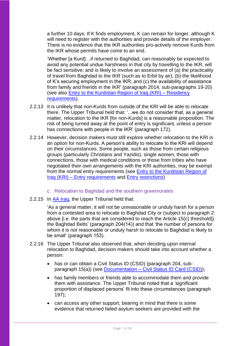a further 10 days. If K finds employment, K can remain for longer, although K will need to register with the authorities and provide details of the employer. There is no evidence that the IKR authorities pro-actively remove Kurds from the IKR whose permits have come to an end.

'Whether [a Kurd]…if returned to Baghdad, can reasonably be expected to avoid any potential undue harshness in that city by travelling to the IKR, will be fact sensitive; and is likely to involve an assessment of (a) the practicality of travel from Baghdad to the IKR (such as to Erbil by air); (b) the likelihood of K's securing employment in the IKR; and (c) the availability of assistance from family and friends in the IKR' (paragraph 2014, sub-paragraphs 19-20) (see also [Entry to the Kurdistan Region of Iraq \(KRI\) –](#page-44-0) Residency [requirements\)](#page-44-0).

- 2.2.13 It is unlikely that non-Kurds from outside of the KRI will be able to relocate there. The Upper Tribunal held that: '...we do not consider that, as a general matter, relocation to the IKR [for non-Kurds] is a reasonable proposition. The risk of being turned away at the point of entry is significant, unless a person has connections with people in the IKR' (paragraph 172).
- 2.2.14 However, decision makers must still explore whether relocation to the KRI is an option for non-Kurds. A person's ability to relocate to the KRI will depend on their circumstances. Some people, such as those from certain religious groups (particularly Christians and Yazidis), single women, those with connections, those with medical conditions or those from tribes who have negotiated their own arrangements with the KRI authorities, may be exempt from the normal entry requirements (see [Entry to the Kurdistan Region of](#page-42-1)  Iraq (KRI) – [Entry requirements](#page-42-1) and [Entry restrictions\)](#page-49-0)
	- c. Relocation to Baghdad and the southern governorates
- 2.2.15 In [AA Iraq,](http://www.bailii.org/uk/cases/UKUT/IAC/2015/544.html) the Upper Tribunal held that:

'As a general matter, it will not be unreasonable or unduly harsh for a person from a contested area to relocate to Baghdad City or (subject to paragraph 2 above [i.e. the parts that are considered to reach the Article 15(c) threshold]) the Baghdad Belts' (paragraph 204(14)) and that 'the number of persons for whom it is not reasonable or unduly harsh to relocate to Baghdad is likely to be small' (paragraph 153).

- 2.2.16 The Upper Tribunal also observed that, when deciding upon internal relocation to Baghdad, decision makers should take into account whether a person:
	- has or can obtain a Civil Status ID (CSID) (paragraph 204, subparagraph 15(a)) (see Documentation – [Civil Status ID Card \(CSID\)\)](#page-24-0);
	- has family members or friends able to accommodate them and provide them with assistance. The Upper Tribunal noted that a 'significant proportion of displaced persons' fit into these circumstances (paragraph 197);
	- can access any other support, bearing in mind that there is some evidence that returned failed asylum seekers are provided with the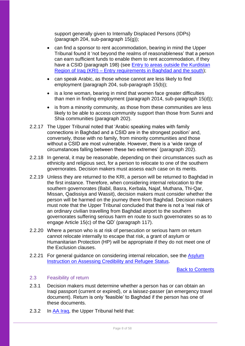support generally given to Internally Displaced Persons (IDPs) (paragraph 204, sub-paragraph 15(g));

- can find a sponsor to rent accommodation, bearing in mind the Upper Tribunal found it 'not beyond the realms of reasonableness' that a person can earn sufficient funds to enable them to rent accommodation, if they have a CSID (paragraph 198) (see **Entry to areas outside the Kurdistan** Region of Iraq (KRI) – [Entry requirements in Baghdad and the south\)](#page-55-0);
- can speak Arabic, as those whose cannot are less likely to find employment (paragraph 204, sub-paragraph 15(b));
- is a lone woman, bearing in mind that women face greater difficulties than men in finding employment (paragraph 2014, sub-paragraph 15(d));
- is from a minority community, as those from these communities are less likely to be able to access community support than those from Sunni and Shia communities (paragraph 202).
- 2.2.17 The Upper Tribunal noted that 'Arabic speaking males with family connections in Baghdad and a CSID are in the strongest position' and, conversely, those with no family, from minority communities and those without a CSID are most vulnerable. However, there is a 'wide range of circumstances falling between these two extremes' (paragraph 202).
- 2.2.18 In general, it may be reasonable, depending on their circumstances such as ethnicity and religious sect, for a person to relocate to one of the southern governorates. Decision makers must assess each case on its merits.
- 2.2.19 Unless they are returned to the KRI, a person will be returned to Baghdad in the first instance. Therefore, when considering internal relocation to the southern governorates (Babil, Basra, Kerbala, Najaf, Muthana, Thi-Qar, Missan, Qadissiya and Wassit), decision makers must consider whether the person will be harmed on the journey there from Baghdad. Decision makers must note that the Upper Tribunal concluded that there is not a 'real risk of an ordinary civilian travelling from Baghdad airport to the southern governorates suffering serious harm en route to such governorates so as to engage Article 15(c) of the QD' (paragraph 117).
- 2.2.20 Where a person who is at risk of persecution or serious harm on return cannot relocate internally to escape that risk, a grant of asylum or Humanitarian Protection (HP) will be appropriate if they do not meet one of the Exclusion clauses.
- 2.2.21 For general guidance on considering internal relocation, see the Asylum Instruction [on Assessing Credibility and Refugee Status.](https://www.gov.uk/government/publications/considering-asylum-claims-and-assessing-credibility-instruction)

Back to Contents

#### <span id="page-7-0"></span>2.3 Feasibility of return

- 2.3.1 Decision makers must determine whether a person has or can obtain an Iraqi passport (current or expired), or a laissez-passer (an emergency travel document). Return is only 'feasible' to Baghdad if the person has one of these documents.
- 2.3.2 In [AA Iraq,](http://www.bailii.org/uk/cases/UKUT/IAC/2015/544.html) the Upper Tribunal held that: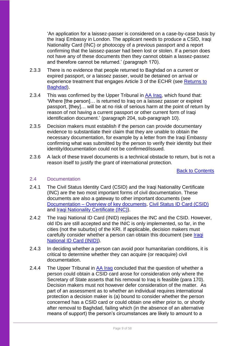'An application for a laissez-passer is considered on a case-by-case basis by the Iraqi Embassy in London. The applicant needs to produce a CSID, Iraqi Nationality Card (INC) or photocopy of a previous passport and a report confirming that the laissez-passer had been lost or stolen. If a person does not have any of these documents then they cannot obtain a lassez-passez and therefore cannot be returned.' (paragraph 170).

- 2.3.3 There is no evidence that people returned to Baghdad on a current or expired passport, or a laissez passer, would be detained on arrival or experience treatment that engages Article 3 of the ECHR (see [Returns to](#page-14-2)  [Baghdad\)](#page-14-2).
- 2.3.4 This was confirmed by the Upper Tribunal in [AA Iraq,](http://www.bailii.org/uk/cases/UKUT/IAC/2015/544.html) which found that: 'Where [the person]… is returned to Iraq on a laissez passer or expired passport, [they]… will be at no risk of serious harm at the point of return by reason of not having a current passport or other current form of Iraqi identification document.' (paragraph 204, sub-paragraph 10).
- 2.3.5 Decision makers must establish if the person can provide documentary evidence to substantiate their claim that they are unable to obtain the necessary documentation, for example by a letter from the Iraqi Embassy confirming what was submitted by the person to verify their identity but their identity/documentation could not be confirmed/issued.
- 2.3.6 A lack of these travel documents is a technical obstacle to return, but is not a reason itself to justify the grant of international protection.

Back to Contents

#### <span id="page-8-0"></span>2.4 Documentation

- 2.4.1 The Civil Status Identity Card (CSID) and the Iraqi Nationality Certificate (INC) are the two most important forms of civil documentation. These documents are also a gateway to other important documents (see Documentation – [Overview of key documents,](#page-21-0) [Civil Status ID Card \(CSID\)](#page-24-0) and [Iraqi Nationality Certificate](#page-40-0) (INC)).
- 2.4.2 The Iraqi National ID Card (INID) replaces the INC and the CSID. However, old IDs are still accepted and the INIC is only implemented, so far, in the cities (not the suburbs) of the KRI. If applicable, decision makers must carefully consider whether a person can obtain this document (see *Iragi* [National ID Card \(INID\)\)](#page-30-0).
- 2.4.3 In deciding whether a person can avoid poor humanitarian conditions, it is critical to determine whether they can acquire (or reacquire) civil documentation.
- 2.4.4 The Upper Tribunal in AA Irag concluded that the question of whether a person could obtain a CSID card arose for consideration only where the Secretary of State asserts that his removal to Iraq is feasible (para 170). Decision makers must not however defer consideration of the matter. As part of an assessment as to whether an individual requires international protection a decision maker is (a) bound to consider whether the person concerned has a CSID card or could obtain one either prior to, or shortly after removal to Baghdad, failing which (in the absence of an alternative means of support) the person's circumstances are likely to amount to a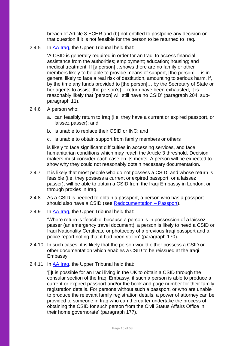breach of Article 3 ECHR and (b) not entitled to postpone any decision on that question if it is not feasible for the person to be returned to Iraq.

2.4.5 In [AA Iraq,](http://www.bailii.org/uk/cases/UKUT/IAC/2015/544.html) the Upper Tribunal held that:

'A CSID is generally required in order for an Iraqi to access financial assistance from the authorities; employment; education; housing; and medical treatment. If [a person]…shows there are no family or other members likely to be able to provide means of support, [the person]… is in general likely to face a real risk of destitution, amounting to serious harm, if, by the time any funds provided to [the person]… by the Secretary of State or her agents to assist [the person's]… return have been exhausted, it is reasonably likely that [person] will still have no CSID' (paragraph 204, subparagraph 11).

- 2.4.6 A person who:
	- a. can feasibly return to Iraq (i.e. they have a current or expired passport, or laissez passer); and
	- b. is unable to replace their CSID or INC; and
	- c. is unable to obtain support from family members or others

is likely to face significant difficulties in accessing services, and face humanitarian conditions which may reach the Article 3 threshold. Decision makers must consider each case on its merits. A person will be expected to show why they could not reasonably obtain necessary documentation.

- 2.4.7 It is likely that most people who do not possess a CSID, and whose return is feasible (i.e. they possess a current or expired passport, or a laissez passer), will be able to obtain a CSID from the Iraqi Embassy in London, or through proxies in Iraq.
- 2.4.8 As a CSID is needed to obtain a passport, a person who has a passport should also have a CSID (see [Redocumentation –](#page-35-0) Passport).
- 2.4.9 In [AA Iraq,](http://www.bailii.org/uk/cases/UKUT/IAC/2015/544.html) the Upper Tribunal held that:

'Where return is 'feasible' because a person is in possession of a laissez passer (an emergency travel document), a person is likely to need a CSID or Iraqi Nationality Certificate or photocopy of a previous Iraqi passport and a police report noting that it had been stolen' (paragraph 170).

- 2.4.10 In such cases, it is likely that the person would either possess a CSID or other documentation which enables a CSID to be reissued at the Iraqi Embassy.
- 2.4.11 In [AA Iraq,](http://www.bailii.org/uk/cases/UKUT/IAC/2015/544.html) the Upper Tribunal held that:

'[i]t is possible for an Iraqi living in the UK to obtain a CSID through the consular section of the Iraqi Embassy, if such a person is able to produce a current or expired passport and/or the book and page number for their family registration details. For persons without such a passport, or who are unable to produce the relevant family registration details, a power of attorney can be provided to someone in Iraq who can thereafter undertake the process of obtaining the CSID for such person from the Civil Status Affairs Office in their home governorate' (paragraph 177).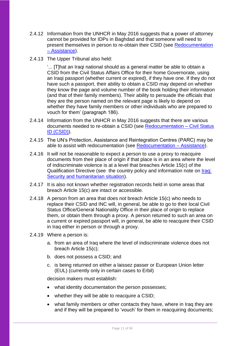- 2.4.12 Information from the UNHCR in May 2016 suggests that a power of attorney cannot be provided for IDPs in Baghdad and that someone will need to present themselves in person to re-obtain their CSID (see [Redocumentation](#page-32-1)  – [Assistance\)](#page-32-1).
- 2.4.13 The Upper Tribunal also held:

'... [T]hat an Iraqi national should as a general matter be able to obtain a CSID from the Civil Status Affairs Office for their home Governorate, using an Iraqi passport (whether current or expired), if they have one. If they do not have such a passport, their ability to obtain a CSID may depend on whether they know the page and volume number of the book holding their information (and that of their family members). Their ability to persuade the officials that they are the person named on the relevant page is likely to depend on whether they have family members or other individuals who are prepared to vouch for them' (paragraph 186).

- 2.4.14 Information from the UNHCR in May 2016 suggests that there are various documents needed to re-obtain a CSID (see [Redocumentation –](#page-35-0) Civil Status [ID \(CSID\)\)](#page-35-0).
- 2.4.15 The UN's Protection, Assistance and Reintegration Centres (PARC) may be able to assist with redocumentation (see Redocumentation - Assistance).
- 2.4.16 It will not be reasonable to expect a person to use a proxy to reacquire documents from their place of origin if that place is in an area where the level of indiscriminate violence is at a level that breaches Article 15(c) of the Qualification Directive (see the country policy and information note on [Iraq:](https://www.gov.uk/government/publications/iraq-country-policy-and-information-notes) [Security and humanitarian situation\)](https://www.gov.uk/government/publications/iraq-country-policy-and-information-notes).
- 2.4.17 It is also not known whether registration records held in some areas that breach Article 15(c) are intact or accessible.
- 2.4.18 A person from an area that does not breach Article 15(c) who needs to replace their CSID and INC will, in general, be able to go to their local Civil Status Office/General Nationality Office in their place of origin to replace them, or obtain them through a proxy. A person returned to such an area on a current or expired passport will, in general, be able to reacquire their CSID in Iraq either in person or through a proxy.
- 2.4.19 Where a person is:
	- a. from an area of Iraq where the level of indiscriminate violence does not breach Article 15(c);
	- b. does not possess a CSID; and
	- c. is being returned on either a laissez passer or European Union letter (EUL) (currently only in certain cases to Erbil)

decision makers must establish:

- what identity documentation the person possesses;
- whether they will be able to reacquire a CSID:
- what family members or other contacts they have, where in Iraq they are and if they will be prepared to 'youch' for them in reacquiring documents;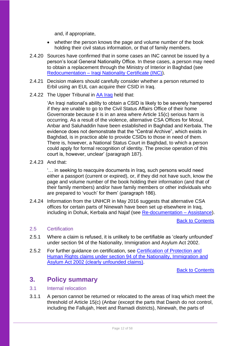and, if appropriate,

- whether the person knows the page and volume number of the book holding their civil status information, or that of family members.
- 2.4.20 Sources have confirmed that in some cases an INC cannot be issued by a person's local General Nationality Office. In these cases, a person may need to obtain a replacement through the Ministry of Interior in Baghdad (see Redocumentation – [Iraqi Nationality Certificate \(INC\)\)](#page-40-0).
- 2.4.21 Decision makers should carefully consider whether a person returned to Erbil using an EUL can acquire their CSID in Iraq.
- 2.4.22 The Upper Tribunal in AA [Iraq](http://www.bailii.org/uk/cases/UKUT/IAC/2015/544.html) held that:

'An Iraqi national's ability to obtain a CSID is likely to be severely hampered if they are unable to go to the Civil Status Affairs Office of their home Governorate because it is in an area where Article 15(c) serious harm is occurring. As a result of the violence, alternative CSA Offices for Mosul, Anbar and Saluhaddin have been established in Baghdad and Kerbala. The evidence does not demonstrate that the "Central Archive", which exists in Baghdad, is in practice able to provide CSIDs to those in need of them. There is, however, a National Status Court in Baghdad, to which a person could apply for formal recognition of identity. The precise operation of this court is, however, unclear' (paragraph 187).

2.4.23 And that:

'… in seeking to reacquire documents in Iraq, such persons would need either a passport (current or expired), or, if they did not have such, know the page and volume number of the book holding their information (and that of their family members) and/or have family members or other individuals who are prepared to 'vouch' for them' (paragraph 186).

2.4.24 Information from the UNHCR in May 2016 suggests that alternative CSA offices for certain parts of Ninewah have been set up elsewhere in Iraq, including in Dohuk, Kerbala and Najaf (see [Re-documentation –](#page-32-1) Assistance).

Back to Contents

#### <span id="page-11-0"></span>2.5 Certification

- 2.5.1 Where a claim is refused, it is unlikely to be certifiable as 'clearly unfounded' under section 94 of the Nationality, Immigration and Asylum Act 2002.
- 2.5.2 For further guidance on certification, see Certification of Protection and [Human Rights claims under section 94 of the Nationality, Immigration and](https://www.gov.uk/government/publications/non-suspensive-appeals-certification-under-section-94-of-the-nia-act-2002-process)  [Asylum Act 2002 \(clearly unfounded claims\).](https://www.gov.uk/government/publications/non-suspensive-appeals-certification-under-section-94-of-the-nia-act-2002-process)

Back to Contents

## <span id="page-11-1"></span>**3. Policy summary**

#### <span id="page-11-2"></span>3.1 Internal relocation

3.1.1 A person cannot be returned or relocated to the areas of Iraq which meet the threshold of Article 15(c) (Anbar (except the parts that Daesh do not control, including the Fallujah, Heet and Ramadi districts), Ninewah, the parts of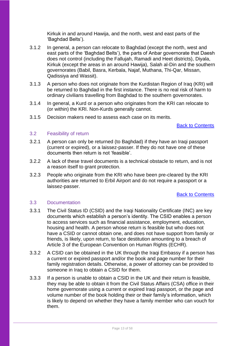Kirkuk in and around Hawija, and the north, west and east parts of the 'Baghdad Belts').

- 3.1.2 In general, a person can relocate to Baghdad (except the north, west and east parts of the 'Baghdad Belts'), the parts of Anbar governorate that Daesh does not control (including the Fallujah, Ramadi and Heet districts), Diyala, Kirkuk (except the areas in an around Hawija), Salah al-Din and the southern governorates (Babil, Basra, Kerbala, Najaf, Muthana, Thi-Qar, Missan, Qadissiya and Wassit).
- 3.1.3 A person who does not originate from the Kurdistan Region of Iraq (KRI) will be returned to Baghdad in the first instance. There is no real risk of harm to ordinary civilians travelling from Baghdad to the southern governorates.
- 3.1.4 In general, a Kurd or a person who originates from the KRI can relocate to (or within) the KRI. Non-Kurds generally cannot.
- 3.1.5 Decision makers need to assess each case on its merits.

#### Back to Contents

#### <span id="page-12-0"></span>3.2 Feasibility of return

- 3.2.1 A person can only be returned (to Baghdad) if they have an Iraqi passport (current or expired), or a laissez-passer. If they do not have one of these documents then return is not 'feasible'.
- 3.2.2 A lack of these travel documents is a technical obstacle to return, and is not a reason itself to grant protection.
- 3.2.3 People who originate from the KRI who have been pre-cleared by the KRI authorities are returned to Erbil Airport and do not require a passport or a laissez-passer.

#### Back to Contents

#### <span id="page-12-1"></span>3.3 Documentation

- 3.3.1 The Civil Status ID (CSID) and the Iraqi Nationality Certificate (INC) are key documents which establish a person's identity. The CSID enables a person to access services such as financial assistance, employment, education, housing and health. A person whose return is feasible but who does not have a CSID or cannot obtain one, and does not have support from family or friends, is likely, upon return, to face destitution amounting to a breach of Article 3 of the European Convention on Human Rights (ECHR).
- 3.3.2 A CSID can be obtained in the UK through the Iraqi Embassy if a person has a current or expired passport and/or the book and page number for their family registration details. Otherwise, a power of attorney can be provided to someone in Iraq to obtain a CSID for them.
- 3.3.3 If a person is unable to obtain a CSID in the UK and their return is feasible, they may be able to obtain it from the Civil Status Affairs (CSA) office in their home governorate using a current or expired Iraqi passport, or the page and volume number of the book holding their or their family's information, which is likely to depend on whether they have a family member who can vouch for them.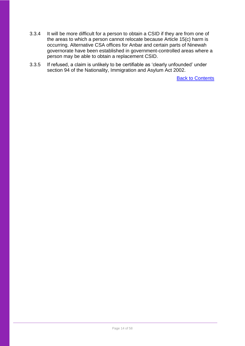- 3.3.4 It will be more difficult for a person to obtain a CSID if they are from one of the areas to which a person cannot relocate because Article 15(c) harm is occurring. Alternative CSA offices for Anbar and certain parts of Ninewah governorate have been established in government-controlled areas where a person may be able to obtain a replacement CSID.
- 3.3.5 If refused, a claim is unlikely to be certifiable as 'clearly unfounded' under section 94 of the Nationality, Immigration and Asylum Act 2002.

**Back to Contents**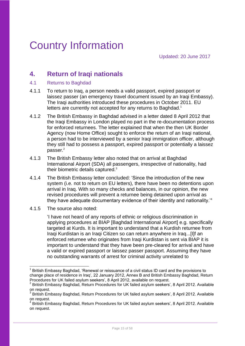# <span id="page-14-1"></span><span id="page-14-0"></span>**4. Return of Iraqi nationals**

- <span id="page-14-2"></span>4.1 Returns to Baghdad
- 4.1.1 To return to Iraq, a person needs a valid passport, expired passport or laissez passer (an emergency travel document issued by an Iraqi Embassy). The Iraqi authorities introduced these procedures in October 2011. EU letters are currently not accepted for any returns to Baghdad.<sup>1</sup>
- 4.1.2 The British Embassy in Baghdad advised in a letter dated 8 April 2012 that the Iraqi Embassy in London played no part in the re-documentation process for enforced returnees. The letter explained that when the then UK Border Agency (now Home Office) sought to enforce the return of an Iraqi national, a person had to be interviewed by a senior Iraqi immigration officer, although they still had to possess a passport, expired passport or potentially a laissez passer. $^{2}$
- 4.1.3 The British Embassy letter also noted that on arrival at Baghdad International Airport (SDA) all passengers, irrespective of nationality, had their biometric details captured. $3$
- 4.1.4 The British Embassy letter concluded: 'Since the introduction of the new system (i.e. not to return on EU letters), there have been no detentions upon arrival in Iraq. With so many checks and balances, in our opinion, the new revised procedures will prevent a returnee being detained upon arrival as they have adequate documentary evidence of their identity and nationality.'<sup>4</sup>
- 4.1.5 The source also noted:

'I have not heard of any reports of ethnic or religious discrimination in applying procedures at BIAP [Baghdad International Airport] e.g. specifically targeted at Kurds. It is important to understand that a Kurdish returnee from Iraqi Kurdistan is an Iraqi Citizen so can return anywhere in Iraq...[I]f an enforced returnee who originates from Iraqi Kurdistan is sent via BIAP it is important to understand that they have been pre-cleared for arrival and have a valid or expired passport or laissez passer passport. Assuming they have no outstanding warrants of arrest for criminal activity unrelated to

 $\overline{\phantom{a}}$ <sup>1</sup> British Embassy Baghdad, 'Renewal or reissuance of a civil status ID card and the provisions to change place of residence in Iraq', 22 January 2012, Annex B and British Embassy Baghdad, Return Procedures for UK failed asylum seekers', 8 April 2012, available on request.

<sup>2</sup> British Embassy Baghdad, Return Procedures for UK failed asylum seekers', 8 April 2012. Available on request.

<sup>&</sup>lt;sup>3</sup> British Embassy Baghdad, Return Procedures for UK failed asylum seekers', 8 April 2012. Available on request.

<sup>4</sup> British Embassy Baghdad, Return Procedures for UK failed asylum seekers', 8 April 2012. Available on request.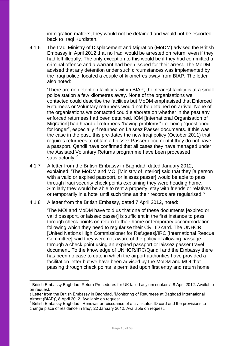immigration matters, they would not be detained and would not be escorted back to Iraqi Kurdistan.<sup>'5</sup>

4.1.6 The Iraqi Ministry of Displacement and Migration (MoDM) advised the British Embassy in April 2012 that no Iraqi would be arrested on return, even if they had left illegally. The only exception to this would be if they had committed a criminal offence and a warrant had been issued for their arrest. The MoDM advised that any detention under such circumstances was implemented by the Iraqi police, located a couple of kilometres away from BIAP. The letter also noted:

'There are no detention facilities within BIAP; the nearest facility is at a small police station a few kilometres away. None of the organisations we contacted could describe the facilities but MoDM emphasised that Enforced Returnees or Voluntary returnees would not be detained on arrival. None of the organisations we contacted could elaborate on whether in the past any enforced returnees had been detained. IOM [International Organisation of Migration] had heard of returnees "having problems" i.e. being "questioned for longer", especially if returned on Laissez Passer documents. If this was the case in the past, this pre-dates the new Iraqi policy (October 2011) that requires returnees to obtain a Laissez Passer document if they do not have a passport. Qandil have confirmed that all cases they have managed under the Assisted Voluntary Returns programme have been processed satisfactorily.'<sup>6</sup>

- 4.1.7 A letter from the British Embassy in Baghdad, dated January 2012, explained: 'The MoDM and MOI [Ministry of Interior] said that they [a person with a valid or expired passport, or laissez passer] would be able to pass through Iraqi security check points explaining they were heading home. Similarly they would be able to rent a property, stay with friends or relatives or temporarily in a hotel until such time as their records are regularised.<sup> $n$ </sup>
- 4.1.8 A letter from the British Embassy, dated 7 April 2012, noted:

1

'The MOI and MoDM have told us that one of these documents [expired or valid passport, or laissez passer] is sufficient in the first instance to pass through check points on return to their home or temporary accommodation following which they need to regularise their Civil ID card. The UNHCR [United Nations High Commissioner for Refugees]/IRC [International Rescue Committee] said they were not aware of the policy of allowing passage through a check point using an expired passport or laissez passer travel document. To the knowledge of UNHCR/IRC/Qandil and the Embassy there has been no case to date in which the airport authorities have provided a facilitation letter but we have been advised by the MoDM and MOI that passing through check points is permitted upon first entry and return home

<sup>&</sup>lt;sup>5</sup> British Embassy Baghdad, Return Procedures for UK failed asylum seekers', 8 April 2012. Available on request.

<sup>6</sup> Letter from the British Embassy in Baghdad, 'Monitoring of Returnees at Baghdad International Airport (BIAP)', 8 April 2012. Available on request.

<sup>7</sup> British Embassy Baghdad, 'Renewal or reissuance of a civil status ID card and the provisions to change place of residence in Iraq', 22 January 2012. Available on request.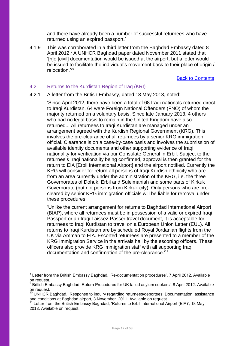and there have already been a number of successful returnees who have returned using an expired passport.<sup>8</sup>

4.1.9 This was corroborated in a third letter from the Baghdad Embassy dated 8 April 2012.<sup>9</sup> A UNHCR Baghdad paper dated November 2011 stated that '[n]o [civil] documentation would be issued at the airport, but a letter would be issued to facilitate the individual's movement back to their place of origin / relocation.'<sup>10</sup>

Back to Contents

#### <span id="page-16-0"></span>4.2 Returns to the Kurdistan Region of Iraq (KRI)

#### 4.2.1 A letter from the British Embassy, dated 18 May 2013, noted:

'Since April 2012, there have been a total of 68 Iraqi nationals returned direct to Iraqi Kurdistan. 64 were Foreign National Offenders (FNO) of whom the majority returned on a voluntary basis. Since late January 2013, 4 others who had no legal basis to remain in the United Kingdom have also returned... All returnees to Iraqi Kurdistan are managed under an arrangement agreed with the Kurdish Regional Government (KRG). This involves the pre-clearance of all returnees by a senior KRG immigration official. Clearance is on a case-by-case basis and involves the submission of available identity documents and other supporting evidence of Iraqi nationality for verification via our Consulate General in Erbil. Subject to the returnee's Iraqi nationality being confirmed, approval is then granted for the return to EIA [Erbil International Airport] and the airport notified. Currently the KRG will consider for return all persons of Iraqi Kurdish ethnicity who are from an area currently under the administration of the KRG, i.e. the three Governorates of Dohuk, Erbil and Suleimaniah and some parts of Kirkuk Governorate (but not persons from Kirkuk city). Only persons who are precleared by senior KRG immigration officials will be liable for removal under these procedures.

'Unlike the current arrangement for returns to Baghdad International Airport (BIAP), where all returnees must be in possession of a valid or expired Iraqi Passport or an Iraqi Laissez-Passer travel document, it is acceptable for returnees to Iraqi Kurdistan to travel on a European Union Letter (EUL). All returns to Iraqi Kurdistan are by scheduled Royal Jordanian flights from the UK via Amman to EIA. Escorted returnees are presented to a member of the KRG Immigration Service in the arrivals hall by the escorting officers. These officers also provide KRG immigration staff with all supporting Iraqi documentation and confirmation of the pre-clearance.<sup>'11</sup>

\_\_\_\_\_\_\_\_\_\_\_\_\_\_\_\_\_\_\_\_\_\_\_\_\_\_\_\_\_\_\_\_\_\_\_<br><sup>8</sup> Letter from the British Embassy Baghdad, 'Re-documentation procedures', 7 April 2012. Available on request.

British Embassy Baghdad, Return Procedures for UK failed asylum seekers', 8 April 2012. Available on request.

<sup>&</sup>lt;sup>10</sup> UNHCR Baghdad, Response to inquiry regarding returnees/deportees: Documentation, assistance and conditions at Baghdad airport, 3 November 2011. Available on request.

<sup>&</sup>lt;sup>11</sup> Letter from the British Embassy Baghdad, 'Returns to Erbil International Airport (EIA)', 18 May 2013. Available on request.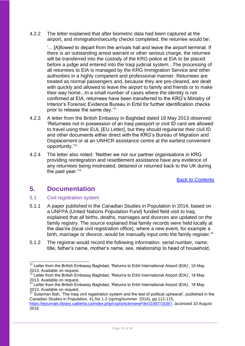4.2.2 The letter explained that after biometric data had been captured at the airport, and immigration/security checks completed, the returnee would be:

'... [A]llowed to depart from the arrivals hall and leave the airport terminal. If there is an outstanding arrest warrant or other serious charge, the returnee will be transferred into the custody of the KRG police at EIA to be placed before a judge and entered into the Iraqi judicial system...The processing of all returnees to EIA is managed by the KRG Immigration Service and other authorities in a highly competent and professional manner. Returnees are treated as normal passengers and, because they are pre-cleared, are dealt with quickly and allowed to leave the airport to family and friends or to make their way home...In a small number of cases where the identity is not confirmed at EIA, returnees have been transferred to the KRG's Ministry of Interior's Forensic Evidence Bureau in Erbil for further identification checks prior to release the same day.<sup>12</sup>

- 4.2.3 A letter from the British Embassy in Baghdad dated 18 May 2013 observed: 'Returnees not in possession of an Iraqi passport or civil ID card are allowed to travel using their EUL [EU Letter], but they should regularise their civil ID and other documents either direct with the KRG's Bureau of Migration and Displacement or at an UNHCR assistance centre at the earliest convenient opportunity.'<sup>13</sup>
- 4.2.4 The letter also noted: 'Neither we nor our partner organisations in KRG providing reintegration and resettlement assistance have any evidence of any returnees being mistreated, detained or returned back to the UK during the past year.'<sup>14</sup>

Back to Contents

## <span id="page-17-0"></span>**5. Documentation**

1

## <span id="page-17-1"></span>5.1 Civil registration system

- 5.1.1 A paper published in the Canadian Studies in Population in 2014, based on a UNFPA (United Nations Population Fund) funded field visit to Iraq, explained that all births, deaths, marriages and divorces are updated on the family registry. The source explained that family records were held locally at the daa'ira (local civil registration office), where a new event, for example a birth, marriage or divorce, would be manually input onto the family register.<sup>15</sup>
- 5.1.2 The registrar would record the following information: serial number, name, title, father's name, mother's name, sex, relationship to head of household,

 $12$  Letter from the British Embassy Baghdad, 'Returns to Erbil International Airport (EIA)', 18 May 2013. Available on request.

 $13$  Letter from the British Embassy Baghdad, 'Returns to Erbil International Airport (EIA)', 18 May 2013. Available on request.

 $14$  Letter from the British Embassy Baghdad, 'Returns to Erbil International Airport (EIA)', 18 May 2013. Available on request.

<sup>&</sup>lt;sup>15</sup> Sulaiman Bah, 'The Iraqi civil registration system and the test of political upheaval', published in the Canadian Studies in Population, 41,No 1-2 (spring/summer 2014), pp.112-115,

[https://ejournals.library.ualberta.ca/index.php/csp/article/viewFile/21887/16367,](https://ejournals.library.ualberta.ca/index.php/csp/article/viewFile/21887/16367) accessed 10 August 2016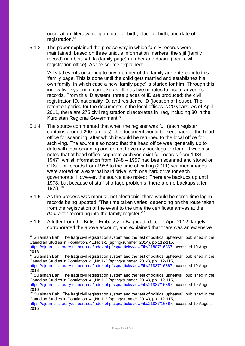occupation, literacy, religion, date of birth, place of birth, and date of registration. 16

5.1.3 The paper explained the precise way in which family records were maintained, based on three unique information markers: the sijil (family record) number; sahifa (family page) number and daaira (local civil registration office). As the source explained:

> 'All vital events occurring to any member of the family are entered into this 'family page. This is done until the child gets married and establishes his own family, in which case a new 'family page' is started for him. Through this innovative system, it can take as little as five minutes to locate anyone's records. From this ID system, three pieces of ID are produced: the civil registration ID, nationality ID, and residence ID (location of house). The retention period for the documents in the local offices is 20 years. As of April 2011, there are 275 civil registration directorates in Iraq, including 30 in the Kurdistan Regional Government.' 17

- 5.1.4 The source commented that when the register was full (each register contains around 200 families), the document would be sent back to the head office for scanning, after which it would be returned to the local office for archiving. The source also noted that the head office was 'generally up to date with their scanning and do not have any backlogs to clear'. It was also noted that at head office 'separate archives exist for records from 1934 – 1947', whilst information from 1948 – 1957 had been scanned and stored on CDs. For records from 1958 to the time of writing (2011) scanned images were stored on a external hard drive, with one hard drive for each governorate. However, the source also noted: 'There are backups up until 1978, but because of staff shortage problems, there are no backups after 1978.'<sup>18</sup>
- 5.1.5 As the process was manual, not electronic, there would be some time lag in records being updated: 'The time taken varies, depending on the route taken from the registration of the event to the time the certificate arrives at the *daaira* for recording into the family register.'<sup>19</sup>
- 5.1.6 A letter from the British Embassy in Baghdad, dated 7 April 2012, largely corroborated the above account, and explained that there was an extensive

<sup>1</sup>  $16$  Sulaiman Bah, 'The Iraqi civil registration system and the test of political upheaval', published in the Canadian Studies in Population, 41,No 1-2 (spring/summer 2014), pp.112-115, [https://ejournals.library.ualberta.ca/index.php/csp/article/viewFile/21887/16367,](https://ejournals.library.ualberta.ca/index.php/csp/article/viewFile/21887/16367) accessed 10 August

<sup>2016</sup>

<sup>&</sup>lt;sup>17</sup> Sulaiman Bah, 'The Iraqi civil registration system and the test of political upheaval', published in the Canadian Studies in Population, 41,No 1-2 (spring/summer 2014), pp.112-115,

[https://ejournals.library.ualberta.ca/index.php/csp/article/viewFile/21887/16367,](https://ejournals.library.ualberta.ca/index.php/csp/article/viewFile/21887/16367) accessed 10 August 2016

 $18$  Sulaiman Bah, 'The Iraqi civil registration system and the test of political upheaval', published in the Canadian Studies in Population, 41,No 1-2 (spring/summer 2014), pp.112-115,

[https://ejournals.library.ualberta.ca/index.php/csp/article/viewFile/21887/16367,](https://ejournals.library.ualberta.ca/index.php/csp/article/viewFile/21887/16367) accessed 10 August 2016

<sup>&</sup>lt;sup>19</sup> Sulaiman Bah, 'The Iraqi civil registration system and the test of political upheaval', published in the Canadian Studies in Population, 41,No 1-2 (spring/summer 2014), pp.112-115,

[https://ejournals.library.ualberta.ca/index.php/csp/article/viewFile/21887/16367,](https://ejournals.library.ualberta.ca/index.php/csp/article/viewFile/21887/16367) accessed 10 August 2016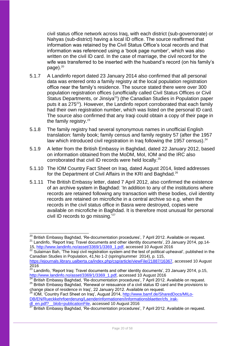civil status office network across Iraq, with each district (sub-governorate) or Nahyas (sub-district) having a local ID office. The source reaffirmed that information was retained by the Civil Status Office's local records and that information was referenced using a 'book page number', which was also written on the civil ID card. In the case of marriage, the civil record for the wife was transferred to be inserted with the husband's record (on his family's  $paae).<sup>20</sup>$ 

- 5.1.7 A Landinfo report dated 23 January 2014 also confirmed that all personal data was entered onto a family registry at the local population registration office near the family's residence. The source stated there were over 300 population registration offices (unofficially called Civil Status Offices or Civil Status Departments, or Jinsiya<sup>21</sup>) (the Canadian Studies in Population paper puts it as  $275^{22}$ ). However, the Landinfo report corroborated that each family had their own registration number, which was listed on the personal ID card. The source also confirmed that any Iraqi could obtain a copy of their page in the family registry. $23$
- 5.1.8 The family registry had several synonymous names in unofficial English translation: family book; family census and family registry 57 (after the 1957 law which introduced civil registration in Iraq following the 1957 census). $^{24}$
- 5.1.9 A letter from the British Embassy in Baghdad, dated 22 January 2012, based on information obtained from the MoDM, MoI, IOM and the IRC also corroborated that civil ID records were held locally.<sup>25</sup>
- 5.1.10 The IOM Country Fact Sheet on Iraq, dated August 2014, listed addresses for the Department of Civil Affairs in the KRI and Baghdad.<sup>26</sup>
- 5.1.11 The British Embassy letter, dated 7 April 2012, also confirmed the existence of an archive system in Baghdad: 'In addition to any of the institutions where records are retained following any transaction with these bodies, civil identity records are retained on microfiche in a central archive so e.g. when the records in the civil status office in Basra were destroyed, copies were available on microfiche in Baghdad. It is therefore most unusual for personal civil ID records to go missing.<sup>'27</sup>

<sup>26</sup> IOM, 'Country Fact Sheet on Iraq', August 2014, [http://www.bamf.de/SharedDocs/MILo-](http://www.bamf.de/SharedDocs/MILo-DB/EN/Rueckkehrfoerderung/Laenderinformationen/Informationsblaetter/cfs_irak-dl_en.pdf?__blob=publicationFile)[DB/EN/Rueckkehrfoerderung/Laenderinformationen/Informationsblaetter/cfs\\_irak](http://www.bamf.de/SharedDocs/MILo-DB/EN/Rueckkehrfoerderung/Laenderinformationen/Informationsblaetter/cfs_irak-dl_en.pdf?__blob=publicationFile)dl\_en.pdf? \_blob=publicationFile, accessed 10 August 2016

<sup>1</sup>  $^{20}$  British Embassy Baghdad, 'Re-documentation procedures', 7 April 2012. Available on request. <sup>21</sup> Landinfo, 'Report Iraq: Travel documents and other identity documents', 23 January 2014, pp.14-15, [http://www.landinfo.no/asset/3369/1/3369\\_1.pdf,](http://www.landinfo.no/asset/3369/1/3369_1.pdf) accessed 10 August 2016

 $22$  Sulaiman Bah, 'The Iraqi civil registration system and the test of political upheaval', published in the Canadian Studies in Population, 41,No 1-2 (spring/summer 2014), p. 115, [https://ejournals.library.ualberta.ca/index.php/csp/article/viewFile/21887/16367,](https://ejournals.library.ualberta.ca/index.php/csp/article/viewFile/21887/16367) accessed 10 August 2016

 $^{23}$  Landinfo, 'Report Iraq: Travel documents and other identity documents', 23 January 2014, p.15, [http://www.landinfo.no/asset/3369/1/3369\\_1.pdf,](http://www.landinfo.no/asset/3369/1/3369_1.pdf) accessed 10 August 2016

 $^{24}$  British Embassy Baghdad, 'Re-documentation procedures', 7 April 2012. Available on request. <sup>25</sup> British Embassy Baghdad, 'Renewal or reissuance of a civil status ID card and the provisions to change place of residence in Iraq', 22 January 2012. Available on request.

 $^{27}$  British Embassy Baghdad, 'Re-documentation procedures', 7 April 2012. Available on request.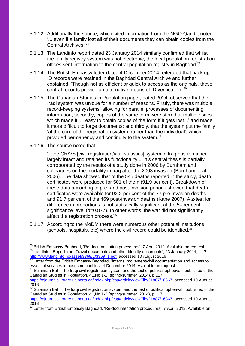- 5.1.12 Additionally the source, which cited information from the NGO Qandil, noted: '... even if a family lost all of their documents they can obtain copies from the Central Archives.' 28
- 5.1.13 The Landinfo report dated 23 January 2014 similarly confirmed that whilst the family registry system was not electronic, the local population registration offices sent information to the central population registry in Baghdad.<sup>29</sup>
- 5.1.14 The British Embassy letter dated 4 December 2014 reiterated that back up ID records were retained in the Baghdad Central Archive and further explained: 'Though not as efficient or quick to access as the originals, these central records provide an alternative means of ID verification.'<sup>30</sup>
- 5.1.15 The Canadian Studies in Population paper, dated 2014, observed that the Iraqi system was unique for a number of reasons. Firstly, there was multiple record-keeping systems, allowing for parallel processes of documenting information; secondly, copies of the same form were stored at multiple sites which made it '... easy to obtain copies of the form if it gets lost...' and made it more difficult to forge documents; and thirdly, that the system put the family 'at the core of the registration system, rather than the individual', which provided permanency and continuity to the system.<sup>31</sup>
- 5.1.16 The source noted that:

'...the CR/VS [civil registration/vital statistics] system in Iraq has remained largely intact and retained its functionality...This central thesis is partially corroborated by the results of a study done in 2006 by Burnham and colleagues on the mortality in Iraq after the 2003 invasion (Burnham et al. 2006). The data showed that of the 545 deaths reported in the study, death certificates were produced for 501 of them (91.9 per cent). Breakdown of these data according to pre- and post-invasion periods showed that death certificates were available for 92.2 per cent of the 77 pre-invasion deaths and 91.7 per cent of the 469 post-invasion deaths (Kane 2007). A z-test for difference in proportions is not statistically significant at the 5–per cent significance level (p=0.877). In other words, the war did not significantly affect the registration process.'<sup>32</sup>

5.1.17 According to the MoDM there were numerous other potential institutions (schools, hospitals, etc) where the civil record could be identified. $33$ 

<sup>-</sup> $^{28}$  British Embassy Baghdad, 'Re-documentation procedures', 7 April 2012. Available on request. <sup>29</sup> Landinfo. 'Report Iraq: Travel documents and other identity documents', 23 January 2014, p.17, [http://www.landinfo.no/asset/3369/1/3369\\_1.pdf,](http://www.landinfo.no/asset/3369/1/3369_1.pdf) accessed 10 August 2016

 $30$  Letter from the British Embassy Baghdad, 'Internal movement/civil documentation and access to essential services in host communities', 4 December 2014. Available on request.

Sulaiman Bah, The Iraqi civil registration system and the test of political upheaval', published in the Canadian Studies in Population, 41,No 1-2 (spring/summer 2014), p.117,

[https://ejournals.library.ualberta.ca/index.php/csp/article/viewFile/21887/16367,](https://ejournals.library.ualberta.ca/index.php/csp/article/viewFile/21887/16367) accessed 10 August 2016

<sup>&</sup>lt;sup>32</sup> Sulaiman Bah, 'The Iraqi civil registration system and the test of political upheaval', published in the Canadian Studies in Population, 41,No 1-2 (spring/summer 2014), p.117,

[https://ejournals.library.ualberta.ca/index.php/csp/article/viewFile/21887/16367,](https://ejournals.library.ualberta.ca/index.php/csp/article/viewFile/21887/16367) accessed 10 August 2016

<sup>&</sup>lt;sup>33</sup> Letter from British Embassy Baghdad, 'Re-documentation procedures', 7 April 2012. Available on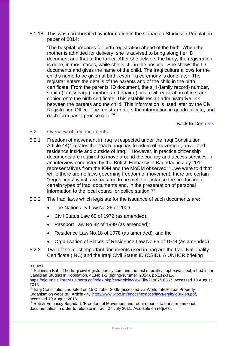5.1.18 This was corroborated by information in the Canadian Studies in Population paper of 2014:

'The hospital prepares for birth registration ahead of the birth. When the mother is admitted for delivery, she is advised to bring along her ID document and that of the father. After she delivers the baby, the registration is done, in most cases, while she is still in the hospital. She shows the ID documents and gives the name of the child. The Iraqi culture allows for the child's name to be given at birth, even if a ceremony is done later. The registrar enters the details of the parents and of the child in the birth certificate. From the parents' ID document, the sijil (family record) number, sahifa (family page) number, and daaira (local civil registration office) are copied onto the birth certificate. This establishes an administrative link between the parents and the child. This information is used later by the Civil Registration Office. The registrar enters the information in quadruplicate, and each form has a precise role.<sup>'34</sup>

Back to Contents

#### <span id="page-21-0"></span>5.2 Overview of key documents

- 5.2.1 Freedom of movement in Iraq is respected under the Iraqi Constitution. Article 44(1) states that 'each Iraqi has freedom of movement, travel and residence inside and outside of Iraq.'<sup>35</sup> However, in practice citizenship documents are required to move around the country and access services. In an interview conducted by the British Embassy in Baghdad in July 2011, representatives from the IOM and the MoDM observed: '...we were told that while there are no laws governing freedom of movement, there are certain "regulations" which are required to be met, for instance the production of certain types of Iraqi documents and, in the presentation of personal information to the local council or police station.'<sup>36</sup>
- 5.2.2 The Iraqi laws which legislate for the issuance of such documents are:
	- The Nationality Law No.26 of 2006;
	- Civil Status Law 65 of 1972 (as amended);
	- Passport Law No.32 of 1999 (as amended);
	- Residence Law No.18 of 1978 (as amended); and the
	- Organisation of Places of Residence Law No.95 of 1978 (as amended)
- 5.2.3 Two of the most important documents used in Iraq are the Iraqi Nationality Certificate (INC) and the Iraqi Civil Status ID (CSID). A UNHCR briefing

1

request.

 $34$  Sulaiman Bah, 'The Iraqi civil registration system and the test of political upheaval', published in the Canadian Studies in Population, 41,No 1-2 (spring/summer 2014), pp.112-115, [https://ejournals.library.ualberta.ca/index.php/csp/article/viewFile/21887/16367,](https://ejournals.library.ualberta.ca/index.php/csp/article/viewFile/21887/16367) accessed 10 August 2016

<sup>&</sup>lt;sup>35</sup> Iraqi Constitution, adopted on 15 October 2005 (accessed via World Intellectual Property Organisation website), Article 44, [http://www.wipo.int/edocs/lexdocs/laws/en/iq/iq004en.pdf,](http://www.wipo.int/edocs/lexdocs/laws/en/iq/iq004en.pdf) accessed 10 August 2016

<sup>&</sup>lt;sup>36</sup> British Embassy Baghdad, 'Freedom of Movement and requirements to transfer personal documentation in order to relocate in Iraq', 27 July 2011. Available on request.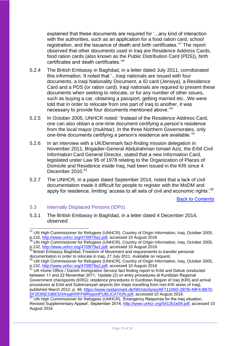explained that these documents are required for '...any kind of interaction with the authorities, such as an application for a food ration card, school registration, and the issuance of death and birth certificates.'<sup>37</sup> The report observed that other documents used in Iraq are Residence Address Cards, food ration cards (also known as the Public Distribution Card (PDS)), birth certificates and death certificates.'<sup>38</sup>

- 5.2.4 The British Embassy in Baghdad, in a letter dated July 2011, corroborated this information. It noted that '...Iraqi nationals are issued with four documents, a Iraqi Nationality Document, a ID card (Jensiya), a Residence Card and a PDS (or ration card). Iraqi nationals are required to present these documents when seeking to relocate, or for any number of other issues, such as buying a car, obtaining a passport, getting married etc...We were told that in order to relocate from one part of Iraq to another, it was necessary to provide four documents mentioned above.'<sup>39</sup>
- 5.2.5 In October 2005, UNHCR noted: 'Instead of the Residence Address Card, one can also obtain a one-time document certifying a person's residence from the local mayor (mukhtar). In the three Northern Governorates, only one-time documents certifying a person's residence are available.'<sup>40</sup>
- 5.2.6 In an interview with a UK/Denmark fact-finding mission delegation in November 2011, Brigadier-General Abdulrahman Ismael Aziz, the Erbil Civil Information Card General Director, stated that a new Information Card, legislated under Law 95 of 1978 relating to the Organization of Places of Domicile and Residence inside Iraq, had been issued in the KRI since 4 December 2010.<sup>41</sup>
- 5.2.7 The UNHCR, in a paper dated September 2014, noted that a lack of civil documentation made it difficult for people to register with the MoDM and apply for residence, limiting 'access to all sets of civil and economic rights'.<sup>42</sup>

Back to Contents

## <span id="page-22-0"></span>5.3 Internally Displaced Persons (IDPs)

5.3.1 The British Embassy in Baghdad, in a letter dated 4 December 2014, observed:

<sup>-</sup><sup>37</sup> UN High Commissioner for Refugees (UNHCR), Country of Origin Information, Iraq, October 2005, p.132, [http://www.unhcr.org/4709f79a2.pdf,](http://www.unhcr.org/4709f79a2.pdf) accessed 10 August 2016

<sup>&</sup>lt;sup>38</sup> UN High Commissioner for Refugees (UNHCR), Country of Origin Information, Iraq, October 2005, p.132, [http://www.unhcr.org/4709f79a2.pdf,](http://www.unhcr.org/4709f79a2.pdf) accessed 10 August 2016

<sup>&</sup>lt;sup>39</sup> British Embassy Baghdad, Freedom of Movement and requirements to transfer personal documentation in order to relocate in Iraq, 27 July 2011. Available on request.

<sup>&</sup>lt;sup>40</sup> UN High Commissioner for Refugees (UNHCR), Country of Origin Information, Iraq, October 2005, p.132, [http://www.unhcr.org/4709f79a2.pdf,](http://www.unhcr.org/4709f79a2.pdf) accessed 10 August 2016

UK Home Office / Danish Immigration Service fact finding report to Erbil and Dahuk conducted between 11 and 22 November 2011, 'Update (2) on entry procedures at Kurdistan Regional Government checkpoints (KRG); residence procedures in Kurdistan Region of Iraq (KRI) and arrival procedures at Erbil and Suleimaniyah airports (for Iraqis travelling from non-KRI areas of Iraq), published March 2012, p. 48, [https://www.nyidanmark.dk/NR/rdonlyres/6F71106D-2B7B-49F4-B870-](https://www.nyidanmark.dk/NR/rdonlyres/6F71106D-2B7B-49F4-B870-EF2E95E33BE5/0/IraqKRIFFMReportPUBLICATION.pdf) [EF2E95E33BE5/0/IraqKRIFFMReportPUBLICATION.pdf,](https://www.nyidanmark.dk/NR/rdonlyres/6F71106D-2B7B-49F4-B870-EF2E95E33BE5/0/IraqKRIFFMReportPUBLICATION.pdf) accessed 10 August 2016

UN High Commissioner for Refugees (UNHCR), 'Emergency Response for the Iraq situation, Revised Supplementary Appeal', September 2014, [http://www.unhcr.org/5412b1e09.pdf,](http://www.unhcr.org/5412b1e09.pdf) accessed 10 August 2016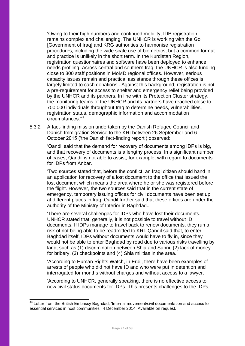'Owing to their high numbers and continued mobility, IDP registration remains complex and challenging. The UNHCR is working with the GoI [Government of Iraq] and KRG authorities to harmonise registration procedures, including the wide scale use of biometrics, but a common format and practice is unlikely in the short term. In the Kurdistan Region, registration questionnaires and software have been deployed to enhance needs profiling. Across central and southern Iraq, the UNHCR is also funding close to 300 staff positions in MoMD regional offices. However, serious capacity issues remain and practical assistance through these offices is largely limited to cash donations...Against this background, registration is not a pre-requirement for access to shelter and emergency relief being provided by the UNHCR and its partners. In line with its Protection Cluster strategy, the monitoring teams of the UNHCR and its partners have reached close to 700,000 individuals throughout Iraq to determine needs, vulnerabilities, registration status, demographic information and accommodation circumstances.'<sup>43</sup>

5.3.2 A fact-finding mission undertaken by the Danish Refugee Council and Danish Immigration Service to the KRI between 26 September and 6 October 2015 ('the Danish fact-finding report') observed:

> 'Qandil said that the demand for recovery of documents among IDPs is big, and that recovery of documents is a lengthy process. In a significant number of cases, Qandil is not able to assist, for example, with regard to documents for IDPs from Anbar.

> 'Two sources stated that, before the conflict, an Iraqi citizen should hand in an application for recovery of a lost document to the office that issued the lost document which means the area where he or she was registered before the flight. However, the two sources said that in the current state of emergency, temporary issuing offices for civil documents have been set up at different places in Iraq. Qandil further said that these offices are under the authority of the Ministry of Interior in Baghdad...

> 'There are several challenges for IDPs who have lost their documents. UNHCR stated that, generally, it is not possible to travel without ID documents. If IDPs manage to travel back to renew documents, they run a risk of not being able to be readmitted to KRI. Qandil said that, to enter Baghdad itself, IDPs without documents would have to fly in, since they would not be able to enter Baghdad by road due to various risks travelling by land, such as (1) discrimination between Shia and Sunni, (2) lack of money for bribery, (3) checkpoints and (4) Shia militias in the area.

'According to Human Rights Watch, in Erbil, there have been examples of arrests of people who did not have ID and who were put in detention and interrogated for months without charges and without access to a lawyer.

'According to UNHCR, generally speaking, there is no effective access to new civil status documents for IDPs. This presents challenges to the IDPs,

-

 $43$  Letter from the British Embassy Baghdad, 'Internal movement/civil documentation and access to essential services in host communities', 4 December 2014. Available on request.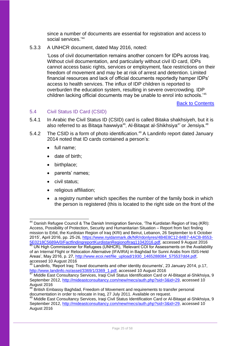since a number of documents are essential for registration and access to social services.' 44

5.3.3 A UNHCR document, dated May 2016, noted:

'Loss of civil documentation remains another concern for IDPs across Iraq. Without civil documentation, and particularly without civil ID card, IDPs cannot access basic rights, services or employment, face restrictions on their freedom of movement and may be at risk of arrest and detention. Limited financial resources and lack of official documents reportedly hamper IDPs' access to health services. The influx of IDP children is reported to overburden the education system, resulting in severe overcrowding. IDP children lacking official documents may be unable to enrol into schools.'<sup>45</sup>

Back to Contents

#### <span id="page-24-0"></span>5.4 Civil Status ID Card (CSID)

- 5.4.1 In Arabic the Civil Status ID (CSID) card is called Bitaka shakhsiyeh, but it is also referred to as Bitaqa hawwiya<sup>46</sup>, Al-Bitaqat al-Shikhsiya<sup>47</sup> or Jensiya.<sup>48</sup>
- 5.4.2 The CSID is a form of photo identification.<sup>49</sup> A Landinfo report dated January 2014 noted that ID cards contained a person's:
	- full name:
	- date of birth:
	- birthplace;
	- parents' names;
	- civil status;

1

- religious affiliation:
- a registry number which specifies the number of the family book in which the person is registered (this is located to the right side on the front of the

 $44$  Danish Refugee Council & The Danish Immigration Service, 'The Kurdistan Region of Iraq (KRI): Access, Possibility of Protection, Security and Humanitarian Situation – Report from fact finding mission to Erbil, the Kurdistan Region of Iraq (KRI) and Beirut, Lebanon, 26 September to 6 October 2015', April 2016, pp. 25-26, https://www.nyidanmark.dk/NR/rdonlyres/4B4E8C12-84B7-4ACB-8553-2015', April 2016, pp. 25-26, [https://www.nyidanmark.dk/NR/rdonlyres/4B4E8C12-84B7-4ACB-8553-](https://www.nyidanmark.dk/NR/rdonlyres/4B4E8C12-84B7-4ACB-8553-5E0218C5689A/0/FactfindingreportKurdistanRegionofIraq11042016.pdf) [5E0218C5689A/0/FactfindingreportKurdistanRegionofIraq11042016.pdf,](https://www.nyidanmark.dk/NR/rdonlyres/4B4E8C12-84B7-4ACB-8553-5E0218C5689A/0/FactfindingreportKurdistanRegionofIraq11042016.pdf) accessed 9 August 2016 UN High Commissioner for Refugees (UNHCR), 'Relevant COI for Assessments on the Availability of an Internal Flight or Relocation Alternative (IFA/IRA) in Baghdad for Sunni Arabs from ISIS-Held Areas', May 2016, p. 27, http://www.ecoi.net/file\_upload/1930\_1465288084\_575537dd4.pdf. accessed 10 August 2016

 $46$  Landinfo, 'Report Iraq: Travel documents and other identity documents', 23 January 2014, p.17, [http://www.landinfo.no/asset/3369/1/3369\\_1.pdf,](http://www.landinfo.no/asset/3369/1/3369_1.pdf) accessed 10 August 2016

<sup>&</sup>lt;sup>47</sup> Middle East Consultancy Services, Iraqi Civil Status Identification Card or Al-Bitaqat al-Shikhsiya, 9 September 2012, [http://mideastconsultancy.com/new/mecs/auth.php?sid=3&id=29,](http://mideastconsultancy.com/new/mecs/auth.php?sid=3&id=29) accessed 10 August 2016

<sup>48</sup> British Embassy Baghdad, Freedom of Movement and requirements to transfer personal documentation in order to relocate in Iraq, 27 July 2011. Available on request.

Middle East Consultancy Services, Iraqi Civil Status Identification Card or Al-Bitagat al-Shikhsiya, 9 September 2012, [http://mideastconsultancy.com/new/mecs/auth.php?sid=3&id=29,](http://mideastconsultancy.com/new/mecs/auth.php?sid=3&id=29) accessed 10 August 2016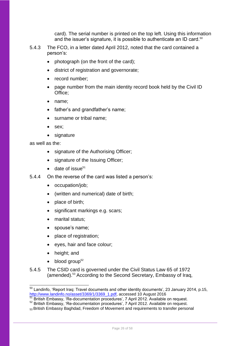card). The serial number is printed on the top left. Using this information and the issuer's signature, it is possible to authenticate an ID card.<sup>50</sup>

- 5.4.3 The FCO, in a letter dated April 2012, noted that the card contained a person's:
	- photograph (on the front of the card);
	- district of registration and governorate;
	- record number;
	- page number from the main identity record book held by the Civil ID Office;
	- name;
	- father's and grandfather's name;
	- surname or tribal name;
	- sex;
	- signature

as well as the:

- signature of the Authorising Officer;
- signature of the Issuing Officer;
- $\bullet$  date of issue<sup>51</sup>
- 5.4.4 On the reverse of the card was listed a person's:
	- occupation/job;
	- (written and numerical) date of birth;
	- place of birth;
	- significant markings e.g. scars;
	- marital status;
	- spouse's name;
	- place of registration;
	- eyes, hair and face colour;
	- height; and

-

- $\bullet$  blood group<sup>52</sup>
- 5.4.5 The CSID card is governed under the Civil Status Law 65 of 1972 (amended).<sup>53</sup> According to the Second Secretary, Embassy of Iraq,

 $50$  Landinfo, 'Report Iraq: Travel documents and other identity documents', 23 January 2014, p.15, [http://www.landinfo.no/asset/3369/1/3369\\_1.pdf,](http://www.landinfo.no/asset/3369/1/3369_1.pdf) accessed 10 August 2016

<sup>&</sup>lt;sup>51</sup> British Embassy, 'Re-documentation procedures', 7 April 2012. Available on request.

<sup>&</sup>lt;sup>52</sup> British Embassy, 'Re-documentation procedures', 7 April 2012. Available on request.

<sup>53</sup> British Embassy Baghdad, Freedom of Movement and requirements to transfer personal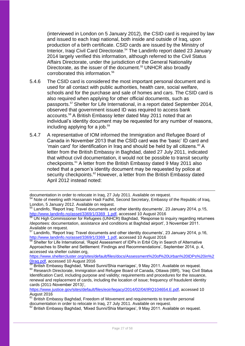(interviewed in London on 5 January 2012), the CSID card is required by law and issued to each Iragi national, both inside and outside of Irag, upon production of a birth certificate. CSID cards are issued by the Ministry of Interior, Iraqi Civil Card Directorate.<sup>54</sup> The Landinfo report dated 23 January 2014 largely verified this information, although referred to the Civil Status Affairs Directorate, under the jurisdiction of the General Nationality Directorate, as the issuer of the document.<sup>55</sup> UNHCR also broadly corroborated this information.<sup>56</sup>

- 5.4.6 The CSID card is considered the most important personal document and is used for all contact with public authorities, health care, social welfare, schools and for the purchase and sale of homes and cars. The CSID card is also required when applying for other official documents, such as passports.<sup>57</sup> Shelter for Life International, in a report dated September 2014, observed that government issued ID was required to access bank accounts.<sup>58</sup> A British Embassy letter dated May 2011 noted that an individual's identity document may be requested for any number of reasons, including applying for a job.<sup>59</sup>
- 5.4.7 A representative of IOM informed the Immigration and Refugee Board of Canada in November 2013 that the CSID card was the 'basic' ID card and 'main card' for identification in Iraq and should be held by all citizens. $60$  A letter from the British Embassy in Baghdad, dated 27 July 2011, indicated that without civil documentation, it would not be possible to transit security checkpoints.<sup>61</sup> A letter from the British Embassy dated 9 May 2011 also noted that a person's identity document may be requested by police at security checkpoints.<sup>62</sup> However, a letter from the British Embassy dated April 2012 instead noted:

[https://www.sheltercluster.org/sites/default/files/docs/Assessment%20of%20Urban%20IDPs%20in%2](https://www.sheltercluster.org/sites/default/files/docs/Assessment%20of%20Urban%20IDPs%20in%20Iraq.pdf) [0Iraq.pdf,](https://www.sheltercluster.org/sites/default/files/docs/Assessment%20of%20Urban%20IDPs%20in%20Iraq.pdf) accessed 10 August 2016

<sup>1</sup> documentation in order to relocate in Iraq, 27 July 2011. Available on request.

<sup>&</sup>lt;sup>54</sup> Note of meeting with Hassanain Hadi Fadhil, Second Secretary, Embassy of the Republic of Iraq, London, 5 January 2012. Available on request.

<sup>55</sup> Landinfo, 'Report Iraq: Travel documents and other identity documents', 23 January 2014, p.15, [http://www.landinfo.no/asset/3369/1/3369\\_1.pdf,](http://www.landinfo.no/asset/3369/1/3369_1.pdf) accessed 10 August 2016

<sup>&</sup>lt;sup>56</sup> UN High Commissioner for Refugees (UNHCR) Baghdad, 'Response to inquiry regarding returnees /deportees: documentation, assistance and conditions at Baghdad airport', 3 November 2011. Available on request.

 $57$  Landinfo, 'Report Iraq: Travel documents and other identity documents', 23 January 2014, p.16, [http://www.landinfo.no/asset/3369/1/3369\\_1.pdf,](http://www.landinfo.no/asset/3369/1/3369_1.pdf) accessed 10 August 2016

<sup>&</sup>lt;sup>58</sup> Shelter for Life International, 'Rapid Assessment of IDPs in Erbil City in Search of Alternative Approaches to Shelter and Settlement: Findings and Recommendations', September 2014, p. 4, accessed via shelter culster.org,

British Embassy Baghdad, 'Mixed Sunni/Shia marriages', 9 May 2011. Available on request. <sup>60</sup> Research Directorate, Immigration and Refugee Board of Canada, Ottawa (IBR), 'Iraq: Civil Status Identification Card, including purpose and validity; requirements and procedures for the issuance, renewal and replacement of cards, including the location of issue; frequency of fraudulent identity cards (2011-November 2013)',

[https://www.justice.gov/sites/default/files/eoir/legacy/2014/02/04/IRQ104654.E.pdf,](https://www.justice.gov/sites/default/files/eoir/legacy/2014/02/04/IRQ104654.E.pdf) accessed 10 August 2016

British Embassy Baghdad, Freedom of Movement and requirements to transfer personal documentation in order to relocate in Iraq, 27 July 2011. Available on request.

 $62$  British Embassy Baghdad, 'Mixed Sunni/Shia Marriages', 9 May 2011. Available on request.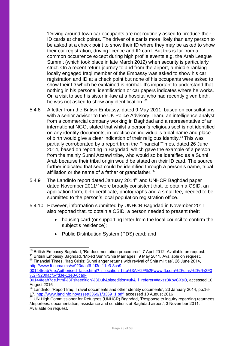'Driving around town car occupants are not routinely asked to produce their ID cards at check points. The driver of a car is more likely than any person to be asked at a check point to show their ID where they may be asked to show their car registration, driving licence and ID card. But this is far from a common occurrence except during high profile events e.g. the Arab League Summit (which took place in late March 2012) when security is particularly strict. On a recent return journey to and from the airport, a middle ranking locally engaged Iraqi member of the Embassy was asked to show his car registration and ID at a check point but none of his occupants were asked to show their ID which he explained is normal. It's important to understand that nothing in his personal identification or car papers indicates where he works. On a visit to see his sister in-law at a hospital who had recently given birth, he was not asked to show any identification.<sup>'63</sup>

- 5.4.8 A letter from the British Embassy, dated 9 May 2011, based on consultations with a senior advisor to the UK Police Advisory Team, an intelligence analyst from a commercial company working in Baghdad and a representative of an international NGO, stated that whilst a person's religious sect is not identified on any identity documents, in practice an individual's tribal name and place of birth would give a clear indication of their religious identity.<sup>64</sup> This was partially corroborated by a report from the Financial Times, dated 26 June 2014, based on reporting in Baghdad, which gave the example of a person from the mainly Sunni Azzawi tribe, who would so be identified as a Sunni Arab because their tribal origin would be stated on their ID card. The source further indicated that sect could be identified through a person's name, tribal affiliation or the name of a father or grandfather.<sup>65</sup>
- 5.4.9 The Landinfo report dated January 2014<sup>66</sup> and UNHCR Baghdad paper dated November 2011<sup>67</sup> were broadly consistent that, to obtain a CSID, an application form, birth certificate, photographs and a small fee, needed to be submitted to the person's local population registration office.
- 5.4.10 However, information submitted by UNHCR Baghdad in November 2011 also reported that, to obtain a CSID, a person needed to present their:
	- housing card (or supporting letter from the local council to confirm the subject's residence);
	- Public Distribution System (PDS) card; and

[00144feab7de,Authorised=false.html?\\_i\\_location=http%3A%2F%2Fwww.ft.com%2Fcms%2Fs%2F0](http://www.ft.com/cms/s/920dacf6-fd3e-11e3-8ca9-00144feab7de,Authorised=false.html?_i_location=http%3A%2F%2Fwww.ft.com%2Fcms%2Fs%2F0%2F920dacf6-fd3e-11e3-8ca9-00144feab7de.html%3Fsiteedition%3Duk&siteedition=uk&_i_referer=#axzz3KpyCXsO) [%2F920dacf6-fd3e-11e3-8ca9-](http://www.ft.com/cms/s/920dacf6-fd3e-11e3-8ca9-00144feab7de,Authorised=false.html?_i_location=http%3A%2F%2Fwww.ft.com%2Fcms%2Fs%2F0%2F920dacf6-fd3e-11e3-8ca9-00144feab7de.html%3Fsiteedition%3Duk&siteedition=uk&_i_referer=#axzz3KpyCXsO)

[00144feab7de.html%3Fsiteedition%3Duk&siteedition=uk&\\_i\\_referer=#axzz3KpyCXsO,](http://www.ft.com/cms/s/920dacf6-fd3e-11e3-8ca9-00144feab7de,Authorised=false.html?_i_location=http%3A%2F%2Fwww.ft.com%2Fcms%2Fs%2F0%2F920dacf6-fd3e-11e3-8ca9-00144feab7de.html%3Fsiteedition%3Duk&siteedition=uk&_i_referer=#axzz3KpyCXsO) accessed 10 August 2016

<sup>1</sup>  $^{63}$  British Embassy Baghdad, 'Re-documentation procedures', 7 April 2012. Available on request. <sup>64</sup> British Embassy Baghdad, 'Mixed Sunni/Shia Marriages', 9 May 2011. Available on request.

<sup>&</sup>lt;sup>65</sup> Financial Times, 'Iraq Crisis: Sunni anger returns with revival of Shia militias', 26 June 2014, [http://www.ft.com/cms/s/920dacf6-fd3e-11e3-8ca9-](http://www.ft.com/cms/s/920dacf6-fd3e-11e3-8ca9-00144feab7de,Authorised=false.html?_i_location=http%3A%2F%2Fwww.ft.com%2Fcms%2Fs%2F0%2F920dacf6-fd3e-11e3-8ca9-00144feab7de.html%3Fsiteedition%3Duk&siteedition=uk&_i_referer=#axzz3KpyCXsO)

<sup>&</sup>lt;sup>66</sup> Landinfo, 'Report Iraq: Travel documents and other identity documents', 23 January 2014, pp.16-17, [http://www.landinfo.no/asset/3369/1/3369\\_1.pdf,](http://www.landinfo.no/asset/3369/1/3369_1.pdf) accessed 10 August 2016

<sup>&</sup>lt;sup>67</sup> UN High Commissioner for Refugees (UNHCR) Baghdad, 'Response to inquiry regarding returnees /deportees: documentation, assistance and conditions at Baghdad airport', 3 November 2011. Available on request.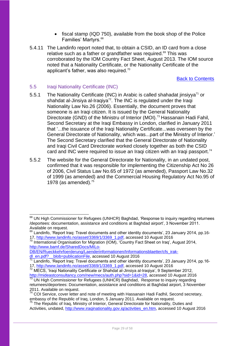- fiscal stamp (IQD 750), available from the book shop of the Police Families' Martyrs.<sup>68</sup>
- 5.4.11 The Landinfo report noted that, to obtain a CSID, an ID card from a close relative such as a father or grandfather was required.<sup>69</sup> This was corroborated by the IOM Country Fact Sheet, August 2013. The IOM source noted that a Nationality Certificate, or the Nationality Certificate of the applicant's father, was also required.<sup>70</sup>

Back to Contents

#### <span id="page-28-0"></span>5.5 Iraqi Nationality Certificate (INC)

- 5.5.1 The Nationality Certificate (INC) in Arabic is called shahadat jinsiyya<sup>71</sup> or shahdat al-Jinsiya al-Iraqiya<sup>72</sup>. The INC is regulated under the Iraqi Nationality Law No.26 (2006). Essentially, the document proves that someone is an Iraqi citizen. It is issued by the General Nationality Directorate (GND) of the Ministru of Interior (MOI).<sup>73</sup> Hassanain Hadi Fahil, Second Secretary at the Iraqi Embassy in London, clarified in January 2011 that '...the issuance of the Iraqi Nationality Certificate...was overseen by the General Directorate of Nationality, which was...part of the Ministry of Interior.' The Second Secretary clarified that the General Directorate of Nationality and Iraqi Civil Card Directorate worked closely together as both the CSID card and INC were required to issue an Iraqi citizen with an Iraqi passport.<sup>74</sup>
- 5.5.2 The website for the General Directorate for Nationality, in an undated post, confirmed that it was responsible for implementing the Citizenship Act No 26 of 2006, Civil Status Law No.65 of 1972 (as amended), Passport Law No.32 of 1999 (as amended) and the Commercial Housing Regulatory Act No.95 of 1978 (as amended). $^{75}$

<sup>-</sup><sup>68</sup> UN High Commissioner for Refugees (UNHCR) Baghdad, 'Response to inquiry regarding returnees /deportees: documentation, assistance and conditions at Baghdad airport', 3 November 2011. Available on request.

 $^{69}$  Landinfo, 'Report Iraq: Travel documents and other identity documents', 23 January 2014, pp.16-17, [http://www.landinfo.no/asset/3369/1/3369\\_1.pdf,](http://www.landinfo.no/asset/3369/1/3369_1.pdf) accessed 10 August 2016

<sup>70</sup> International Organisation for Migration (IOM), 'Country Fact Sheet on Iraq', August 2014, [http://www.bamf.de/SharedDocs/MILo-](http://www.bamf.de/SharedDocs/MILo-DB/EN/Rueckkehrfoerderung/Laenderinformationen/Informationsblaetter/cfs_irak-dl_en.pdf?__blob=publicationFile)

[DB/EN/Rueckkehrfoerderung/Laenderinformationen/Informationsblaetter/cfs\\_irak-](http://www.bamf.de/SharedDocs/MILo-DB/EN/Rueckkehrfoerderung/Laenderinformationen/Informationsblaetter/cfs_irak-dl_en.pdf?__blob=publicationFile)

[dl\\_en.pdf?\\_\\_blob=publicationFile,](http://www.bamf.de/SharedDocs/MILo-DB/EN/Rueckkehrfoerderung/Laenderinformationen/Informationsblaetter/cfs_irak-dl_en.pdf?__blob=publicationFile) accessed 10 August 2016

<sup>&</sup>lt;sup>71</sup> Landinfo, 'Report Iraq: Travel documents and other identity documents', 23 January 2014, pp.1617, [http://www.landinfo.no/asset/3369/1/3369\\_1.pdf,](http://www.landinfo.no/asset/3369/1/3369_1.pdf) accessed 10 August 2016

MECS, 'Iraqi Nationality Certificate or Shahdat al-Jinsiya al-Iraqiya', 9 September 2012, [http://mideastconsultancy.com/new/mecs/auth.php?sid=1&id=28,](http://mideastconsultancy.com/new/mecs/auth.php?sid=1&id=28) accessed 10 August 2016

<sup>&</sup>lt;sup>73</sup> UN High Commissioner for Refugees (UNHCR) Baghdad, Response to inquiry regarding returnees/deportees: Documentation, assistance and conditions at Baghdad airport, 3 November 2011. Available on request.

<sup>&</sup>lt;sup>74</sup> COI Service, cover letter and note of meeting with Hassanain Hadi Fadhil, Second secretary, embassy of the Republic of Iraq, London, 5 January 2011. Available on request.

<sup>&</sup>lt;sup>75</sup> The Republic of Iraq, Ministry of Interior, General Directorate for Nationality, Duties and Activities, undated[, http://www.iraqinationality.gov.iq/activities\\_en.htm,](http://www.iraqinationality.gov.iq/activities_en.htm) accessed 10 August 2016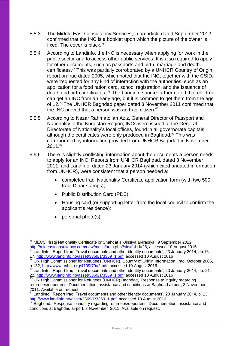- 5.5.3 The Middle East Consultancy Services, in an article dated September 2012, confirmed that the INC is a booklet upon which the picture of the owner is fixed. The cover is black.<sup>76</sup>
- 5.5.4 According to Landinfo, the INC is necessary when applying for work in the public sector and to access other public services. It is also required to apply for other documents, such as passports and birth, marriage and death certificates.<sup>77</sup> This was partially corroborated by a UNHCR Country of Origin report on Iraq dated 2005, which noted that the INC, together with the CSID, were 'requested for any kind of interaction with the authorities, such as an application for a food ration card, school registration, and the issuance of death and birth certificates.'<sup>78</sup> The Landinfo source further noted that children can get an INC from an early age, but it is common to get them from the age of 12.<sup>79</sup> The UNHCR Baghdad paper dated 3 November 2011 confirmed that the INC proved that a person was an Iraqi citizen.<sup>80</sup>
- 5.5.5 According to Nezar Rahmatollah Aziz, General Director of Passport and Nationality in the Kurdistan Region, INCs were issued at the General Directorate of Nationality's local offices, found in all governorate capitals, although the certificates were only produced in Baghdad.<sup>81</sup> This was corroborated by information provided from UNHCR Baghdad in November 2011.<sup>82</sup>
- 5.5.6 There is slightly conflicting information about the documents a person needs to apply for an INC. Reports from UNHCR Baghdad, dated 3 November 2011, and Landinfo, dated 23 January 2014 (which cited undated information from UNHCR), were consistent that a person needed a:
	- completed Iraqi Nationality Certificate application form (with two 500 Iraqi Dinar stamps);
	- Public Distribution Card (PDS);
	- Housing card (or supporting letter from the local council to confirm the applicant's residence);
	- $\bullet$  personal photo(s);

<sup>1</sup> <sup>76</sup> MECS, 'Iraqi Nationality Certificate or Shahdat al-Jinsiya al-Iraqiya', 9 September 2012, [http://mideastconsultancy.com/new/mecs/auth.php?sid=1&id=28,](http://mideastconsultancy.com/new/mecs/auth.php?sid=1&id=28) accessed 10 August 2016  $^{77}$  Landinfo, 'Report Iraq: Travel documents and other identity documents', 23 January 2014, pp.16-

<sup>17,</sup> [http://www.landinfo.no/asset/3369/1/3369\\_1.pdf,](http://www.landinfo.no/asset/3369/1/3369_1.pdf) accessed 10 August 2016

<sup>&</sup>lt;sup>78</sup> UN High Commissioner for Refugees (UNHCR), Country of Origin Information, Iraq, October 2005, p.132, [http://www.unhcr.org/4709f79a2.pdf,](http://www.unhcr.org/4709f79a2.pdf) accessed 10 August 2016

<sup>&</sup>lt;sup>79</sup> Landinfo, 'Report Iraq: Travel documents and other identity documents', 23 January 2014, pp. 21-22, [http://www.landinfo.no/asset/3369/1/3369\\_1.pdf,](http://www.landinfo.no/asset/3369/1/3369_1.pdf) accessed 10 August 2016

<sup>80</sup> UN High Commissioner for Refugees (UNHCR) Baghdad, Response to inquiry regarding returnees/deportees: Documentation, assistance and conditions at Baghdad airport, 3 November 2011. Available on request.

<sup>81</sup> Landinfo, 'Report Iraq: Travel documents and other identity documents', 23 January 2014, p. 23, [http://www.landinfo.no/asset/3369/1/3369\\_1.pdf,](http://www.landinfo.no/asset/3369/1/3369_1.pdf) accessed 10 August 2016

Baghdad, Response to inquiry regarding returnees/deportees: Documentation, assistance and conditions at Baghdad airport, 3 November 2011. Available on request.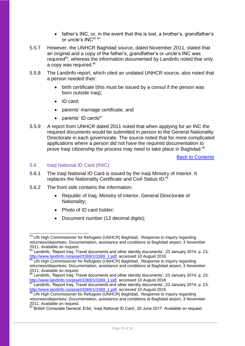- father's INC, or, in the event that this is lost, a brother's, grandfather's or uncle's  $INC^{83}$   $^{84}$
- 5.5.7 However, the UNHCR Baghdad source, dated November 2011, stated that an original and a copy of the father's, grandfather's or uncle's INC was required<sup>85</sup>, whereas the information documented by Landinfo noted that only a copy was required.<sup>86</sup>
- 5.5.8 The Landinfo report, which cited an undated UNHCR source, also noted that a person needed their:
	- birth certificate (this must be issued by a consul if the person was born outside Iraq);
	- ID card;
	- parents' marriage certificate; and
	- $\bullet$  parents' ID cards<sup>87</sup>
- 5.5.9 A report from UNHCR dated 2011 noted that when applying for an INC the required documents would be submitted in person to the General Nationality Directorate in each governorate. The source noted that for more complicated applications where a person did not have the required documentation to prove Iraqi citizenship the process may need to take place in Baghdad.<sup>88</sup>

Back to Contents

#### <span id="page-30-0"></span>5.6 Iraqi National ID Card (INIC)

- 5.6.1 The Iraqi National ID Card is issued by the Iraqi Ministry of Interior. It replaces the Nationality Certificate and Civil Status ID.<sup>89</sup>
- 5.6.2 The front side contains the information:
	- Republic of Iraq, Ministry of Interior, General Directorate of Nationality;
	- Photo of ID card holder:
	- Document number (12 decimal digits);

<sup>1</sup> <sup>83</sup> UN High Commissioner for Refugees (UNHCR) Baghdad, Response to inquiry regarding returnees/deportees: Documentation, assistance and conditions at Baghdad airport, 3 November 2011. Available on request.

 $84$  Landinfo, 'Report Iraq: Travel documents and other identity documents', 23 January 2014, p. 23, [http://www.landinfo.no/asset/3369/1/3369\\_1.pdf,](http://www.landinfo.no/asset/3369/1/3369_1.pdf) accessed 10 August 2016

<sup>&</sup>lt;sup>85</sup> UN High Commissioner for Refugees (UNHCR) Baghdad, Response to inquiry regarding returnees/deportees: Documentation, assistance and conditions at Baghdad airport, 3 November 2011. Available on request.

<sup>&</sup>lt;sup>86</sup> Landinfo, 'Report Iraq: Travel documents and other identity documents', 23 January 2014, p. 23, [http://www.landinfo.no/asset/3369/1/3369\\_1.pdf,](http://www.landinfo.no/asset/3369/1/3369_1.pdf) accessed 10 August 2016

 $\frac{87}{2}$  Landinfo, 'Report Iraq: Travel documents and other identity documents', 23 January 2014, p. 23, [http://www.landinfo.no/asset/3369/1/3369\\_1.pdf,](http://www.landinfo.no/asset/3369/1/3369_1.pdf) accessed 10 August 2016

UN High Commissioner for Refugees (UNHCR) Baghdad, Response to inquiry regarding returnees/deportees: Documentation, assistance and conditions at Baghdad airport, 3 November 2011. Available on request.

<sup>89</sup> British Consulate General, Erbil, 'Iraqi National ID Card', 20 June 2017. Available on request.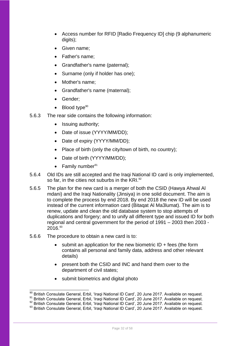- Access number for RFID [Radio Frequency ID] chip (9 alphanumeric digits);
- Given name:
- Father's name;
- Grandfather's name (paternal);
- Surname (only if holder has one);
- Mother's name;
- Grandfather's name (maternal);
- Gender:
- Blood type $90$
- 5.6.3 The rear side contains the following information:
	- Issuing authority;
	- Date of issue (YYYY/MM/DD);
	- Date of expiry (YYYY/MM/DD);
	- Place of birth (only the city/town of birth, no country);
	- Date of birth (YYYY/MM/DD);
	- $\bullet$  Family number<sup>91</sup>
- 5.6.4 Old IDs are still accepted and the Iraqi National ID card is only implemented, so far, in the cities not suburbs in the KRI.<sup>92</sup>
- 5.6.5 The plan for the new card is a merger of both the CSID (Hawya Ahwal Al mdani) and the Iraqi Nationality (Jinsiya) in one solid document. The aim is to complete the process by end 2018. By end 2018 the new ID will be used instead of the current information card (Bitaqat Al Ma3lumat). The aim is to renew, update and clean the old database system to stop attempts of duplications and forgery; and to unify all different type and issued ID for both regional and central government for the period of 1991 – 2003 then 2003 -  $2016.<sup>93</sup>$
- 5.6.6 The procedure to obtain a new card is to:

1

- submit an application for the new biometric  $ID + fees$  (the form contains all personal and family data, address and other relevant details)
- present both the CSID and INC and hand them over to the department of civil states;
- submit biometrics and digital photo

British Consulate General, Erbil, 'Iraqi National ID Card', 20 June 2017. Available on request.

British Consulate General, Erbil, 'Iraqi National ID Card', 20 June 2017. Available on request.

<sup>92</sup> British Consulate General, Erbil, 'Iraqi National ID Card', 20 June 2017. Available on request.

<sup>93</sup> British Consulate General, Erbil, 'Iraqi National ID Card', 20 June 2017. Available on request.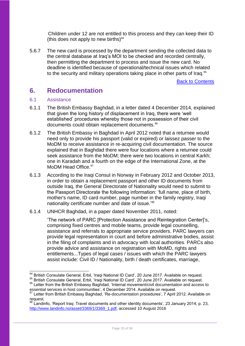Children under 12 are not entitled to this process and they can keep their ID (this does not apply to new births) $94$ 

5.6.7 The new card is processed by the department sending the collected data to the central database at Iraq's MOI to be checked and recorded centrally, then permitting the department to process and issue the new card. No deadline is identified because of operational/technical issues which related to the security and military operations taking place in other parts of Iraq.<sup>95</sup>

Back to Contents

## <span id="page-32-0"></span>**6. Redocumentation**

#### <span id="page-32-1"></span>6.1 Assistance

- 6.1.1 The British Embassy Baghdad, in a letter dated 4 December 2014, explained that given the long history of displacement in Iraq, there were 'well established' procedures whereby those not in possession of their civil documents could obtain replacement documents.<sup>96</sup>
- 6.1.2 The British Embassy in Baghdad in April 2012 noted that a returnee would need only to provide his passport (valid or expired) or laissez passer to the MoDM to receive assistance in re-acquiring civil documentation. The source explained that in Baghdad there were four locations where a returnee could seek assistance from the MoDM; there were two locations in central Karkh; one in Karadah and a fourth on the edge of the International Zone, at the MoDM Head Office.<sup>97</sup>
- 6.1.3 According to the Iraqi Consul in Norway in February 2012 and October 2013, in order to obtain a replacement passport and other ID documents from outside Iraq, the General Directorate of Nationality would need to submit to the Passport Directorate the following information: 'full name, place of birth, mother's name, ID card number, page number in the family registry, Iraqi nationality certificate number and date of issue.<sup>'98</sup>
- 6.1.4 UNHCR Baghdad, in a paper dated November 2011, noted:

'The network of PARC [Protection Assistance and Reintegration Center]'s, comprising fixed centres and mobile teams, provide legal counselling, assistance and referrals to appropriate service providers. PARC lawyers can provide legal representation in court and before administrative bodies, assist in the filing of complaints and in advocacy with local authorities. PARCs also provide advice and assistance on registration with MoMD, rights and entitlements...Types of legal cases / issues with which the PARC lawyers assist include: Civil ID / Nationality, birth / death certificates, marriage,

<sup>-</sup><sup>94</sup> British Consulate General, Erbil, 'Iraqi National ID Card', 20 June 2017. Available on request.

<sup>95</sup> British Consulate General, Erbil, 'Iraqi National ID Card', 20 June 2017. Available on request. 96 Letter from the British Embassy Baghdad, 'Internal movement/civil documentation and access to

essential services in host communities', 4 December 2014. Available on request.

<sup>97</sup> Letter from British Embassy Baghdad, 'Re-documentation procedures', 7 April 2012. Available on request.

 $98$  Landinfo. 'Report Iraq: Travel documents and other identity documents', 23 January 2014, p. 23, [http://www.landinfo.no/asset/3369/1/3369\\_1.pdf,](http://www.landinfo.no/asset/3369/1/3369_1.pdf) accessed 10 August 2016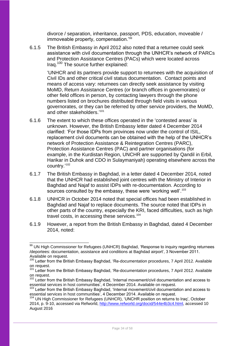divorce / separation, inheritance, passport, PDS, education, moveable / immoveable property, compensation.'<sup>99</sup>

6.1.5 The British Embassy in April 2012 also noted that a returnee could seek assistance with civil documentation through the UNHCR's network of PARCs and Protection Assistance Centres (PACs) which were located across Iraq.<sup>100</sup> The source further explained:

'UNHCR and its partners provide support to returnees with the acquisition of Civil IDs and other critical civil status documentation. Contact points and means of access vary: returnees can directly seek assistance by visiting MoMD, Return Assistance Centres (or branch offices in governorates) or other field offices in person, by contacting lawyers through the phone numbers listed on brochures distributed through field visits in various governorates, or they can be referred by other service providers, the MoMD, and other stakeholders.' 101

- 6.1.6 The extent to which these offices operated in the 'contested areas' is unknown. However, the British Embassy letter dated 4 December 2014 clarified: 'For those IDPs from provinces now under the control of ISIL, replacement civil documents can be obtained with the help of the UNHCR's network of Protection Assistance & Reintegration Centres (PARC), Protection Assistance Centres (PAC) and partner organisations (for example, in the Kurdistan Region, UNCHR are supported by Qandil in Erbil, Harikar in Duhok and CDO in Sulaymaniyah) operating elsewhere across the country.'<sup>102</sup>
- 6.1.7 The British Embassy in Baghdad, in a letter dated 4 December 2014, noted that the UNHCR had established joint centres with the Ministry of Interior in Baghdad and Najaf to assist IDPs with re-documentation. According to sources consulted by the embassy, these were 'working well'.<sup>103</sup>
- 6.1.8 UNHCR in October 2014 noted that special offices had been established in Baghdad and Najaf to replace documents. The source noted that IDPs in other parts of the country, especially the KRI, faced difficulties, such as high travel costs, in accessing these services.<sup>104</sup>
- 6.1.9 However, a report from the British Embassy in Baghdad, dated 4 December 2014, noted:

<sup>-</sup><sup>99</sup> UN High Commissioner for Refugees (UNHCR) Baghdad, 'Response to inquiry regarding returnees /deportees: documentation, assistance and conditions at Baghdad airport', 3 November 2011. Available on request.

<sup>&</sup>lt;sup>100</sup> Letter from the British Embassy Baghdad, 'Re-documentation procedures, 7 April 2012. Available on request.

<sup>&</sup>lt;sup>101</sup> Letter from the British Embassy Baghdad, 'Re-documentation procedures, 7 April 2012. Available on request.

<sup>&</sup>lt;sup>102</sup> Letter from the British Embassy Baghdad, 'Internal movement/civil documentation and access to essential services in host communities', 4 December 2014. Available on request.

<sup>&</sup>lt;sup>103</sup> Letter from the British Embassy Baghdad, 'Internal movement/civil documentation and access to essential services in host communities', 4 December 2014. Available on request.

<sup>&</sup>lt;sup>104</sup> UN High Commissioner for Refugees (UNHCR), 'UNCHR position on returns to Iraq', October 2014, p. 9-10, accessed via Refworld, [http://www.refworld.org/docid/544e4b3c4.html,](http://www.refworld.org/docid/544e4b3c4.html) accessed 10 August 2016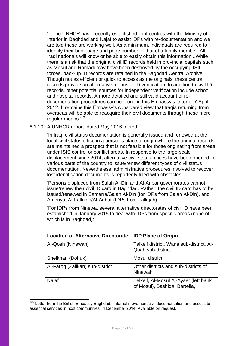'...The UNHCR has...recently established joint centres with the Ministry of Interior in Baghdad and Najaf to assist IDPs with re-documentation and we are told these are working well. As a minimum, individuals are required to identify their book page and page number or that of a family member. All Iraqi nationals will know or be able to easily obtain this information...While there is a risk that the original civil ID records held in provincial capitals such as Mosul and Ramadi may have been destroyed by the occupying ISIL forces, back-up ID records are retained in the Baghdad Central Archive. Though not as efficient or quick to access as the originals, these central records provide an alternative means of ID verification. In addition to civil ID records, other potential sources for independent verification include school and hospital records. A more detailed and still valid account of redocumentation procedures can be found in this Embassy's letter of 7 April 2012. It remains this Embassy's considered view that Iraqis returning from overseas will be able to reacquire their civil documents through these more regular means.'<sup>105</sup>

#### 6.1.10 A UNHCR report, dated May 2016, noted:

'In Iraq, civil status documentation is generally issued and renewed at the local civil status office in a person's place of origin where the original records are maintained a prospect that is not feasible for those originating from areas under ISIS control or conflict areas. In response to the large-scale displacement since 2014, alternative civil status offices have been opened in various parts of the country to issue/renew different types of civil status documentation. Nevertheless, administrative procedures involved to recover lost identification documents is reportedly filled with obstacles.

'Persons displaced from Salah Al-Din and Al-Anbar governorates cannot issue/renew their civil ID card in Baghdad. Rather, the civil ID card has to be issued/renewed in Samarra/Salah Al-Din (for IDPs from Salah Al-Din), and Ameriyat Al-Fallujah/Al-Anbar (IDPs from Fallujah).

'For IDPs from Ninewa, several alternative directorates of civil ID have been established in January 2015 to deal with IDPs from specific areas (none of which is in Baghdad):

| <b>Location of Alternative Directorate</b> | <b>IDP Place of Origin</b>                                             |
|--------------------------------------------|------------------------------------------------------------------------|
| Al-Qosh (Ninewah)                          | Talkeif district, Wana sub-district, Al-<br>Quah sub-district          |
| Sheikhan (Dohuk)                           | <b>Mosul district</b>                                                  |
| Al-Faroq (Zalikan) sub-district            | Other districts and sub-districts of<br>Ninewah                        |
| Najaf                                      | Telkeif, Al-Mosul Al-Ayser (left bank<br>of Mosul), Bashiqa, Bartella, |

<sup>-</sup><sup>105</sup> Letter from the British Embassy Baghdad, 'Internal movement/civil documentation and access to essential services in host communities', 4 December 2014. Available on request.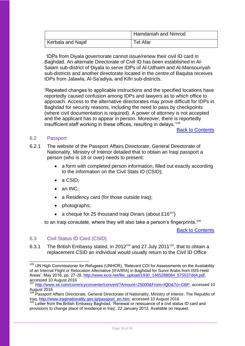|                   | Hamdaniah and Nimrod |
|-------------------|----------------------|
| Kerbala and Najaf | Tel Afar             |

'IDPs from Diyala governorate cannot issue/renew their civil ID card in Baghdad. An alternate Directorate of Civil ID has been established in Al-Salam sub-district of Diyala to serve IDPs of Al-Udhaim and Al-Mansouriyah sub-districts and another directorate located in the centre of Baquba receives IDPs from Jalawla, Al-Sa'adiya, and Kifri sub-districts.

'Repeated changes to applicable instructions and the specified locations have reportedly caused confusion among IDPs and lawyers as to which office to approach. Access to the alternative directorates may prove difficult for IDPs in Baghdad for security reasons, including the need to pass by checkpoints (where civil documentation is required). A power of attorney is not accepted and the applicant has to appear in person. Moreover, there is reportedly insufficient staff working in these offices, resulting in delays.'106

Back to Contents

#### <span id="page-35-0"></span>6.2 Passport

6.2.1 The website of the Passport Affairs Directorate, General Directorate of Nationality, Ministry of Interior detailed that to obtain an Iraqi passport a person (who is 18 or over) needs to present:

- a form with completed person information, filled out exactly according to the information on the Civil Stats ID (CSID);
- a CSID;
- an INC:
- a Residency card (for those outside Iraq):
- photographs;
- a cheque for 25 thousand Iraqi Dinars (about £16<sup>107</sup>)

to an Iraqi consulate, where they will also take a person's fingerprints.<sup>108</sup>

**Back to Contents** 

#### <span id="page-35-1"></span>6.3 Civil Status ID Card (CSID)

1

6.3.1 The British Embassy stated, in 2012<sup>109</sup> and 27 July 2011<sup>110</sup>, that to obtain a replacement CSID an individual would usually return to the Civil ID Office

<sup>&</sup>lt;sup>106</sup> UN High Commissioner for Refugees (UNHCR), 'Relevant COI for Assessments on the Availability of an Internal Flight or Relocation Alternative (IFA/IRA) in Baghdad for Sunni Arabs from ISIS-Held Areas', May 2016, pp. 27-28, [http://www.ecoi.net/file\\_upload/1930\\_1465288084\\_575537dd4.pdf,](http://www.ecoi.net/file_upload/1930_1465288084_575537dd4.pdf) accessed 10 August 2016

<sup>&</sup>lt;sup>107</sup> [http://www.xe.com/currencyconverter/convert/?Amount=25000&From=IQD&To=GBP,](http://www.xe.com/currencyconverter/convert/?Amount=25000&From=IQD&To=GBP) accessed 10 August 2016

<sup>&</sup>lt;sup>108</sup> Passport Affairs Directorate, General Directorate of Nationality, Ministry of Interior, The Republic of Iraq, [http://www.iraqinationality.gov.iq/passport\\_en.htm,](http://www.iraqinationality.gov.iq/passport_en.htm) accessed 10 August 2016

<sup>&</sup>lt;sup>109</sup> Letter from the British Embassy Baghdad, 'Renewal or reissuance of a civil status ID card and provisions to change place of residence in Iraq', 22 January 2012. Available on request.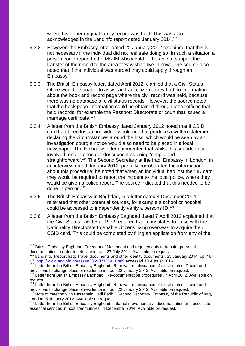where his or her original family record was held. This was also acknowledged in the Landinfo report dated January 2014.<sup>111</sup>

- 6.3.2 However, the Embassy letter dated 22 January 2012 explained that this is not necessary if the individual did not feel safe doing so. In such a situation a person could report to the MoDM who would '... be able to support the transfer of the record to the area they wish to live in now'. The source also noted that if the individual was abroad they could apply through an Embassy.<sup>112</sup>
- 6.3.3 The British Embassy letter, dated April 2012, clarified that a Civil Status Office would be unable to assist an Iraqi citizen if they had no information about the book and record page where the civil record was held, because there was no database of civil status records. However, the source noted that the book page information could be obtained through other offices that held records, for example the Passport Directorate or court that issued a marriage certificate.<sup>113</sup>
- 6.3.4 A letter from the British Embassy dated January 2012 noted that if CSID card had been lost an individual would need to produce a written statement declaring the circumstances around the loss, which would be seen by an investigation court; a notice would also need to be placed in a local newspaper. The Embassy letter commented that whilst this sounded quite involved, one interlocutor described it as being 'simple and straightforward'.<sup>114</sup> The Second Secretary at the Iragi Embassy in London, in an interview dated January 2012, partially corroborated the information about this procedure; he noted that when an individual had lost their ID card they would be required to report the incident to the local police, where they would be given a police report. The source indicated that this needed to be done in person.<sup>115</sup>
- 6.3.5 The British Embassy in Baghdad, in a letter dated 4 December 2014, reiterated that other potential sources, for example a school or hospital, could be accessed to independently verify a persons ID.<sup>116</sup>
- 6.3.6 A letter from the British Embassy Baghdad dated 7 April 2012 explained that the Civil Status Law 65 of 1972 required Iraqi consulates to liaise with the Nationality Directorate to enable citizens living overseas to acquire their CSID card. This could be completed by filing an application from any of the

-

<sup>&</sup>lt;sup>110</sup> British Embassy Baghdad, Freedom of Movement and requirements to transfer personal documentation in order to relocate in Iraq, 27 July 2011. Available on request.

<sup>&</sup>lt;sup>111</sup> Landinfo, 'Report Iraq: Travel documents and other identity documents', 23 January 2014, pp. 1617, [http://www.landinfo.no/asset/3369/1/3369\\_1.pdf,](http://www.landinfo.no/asset/3369/1/3369_1.pdf) accessed 10 August 2016<br>112 Letter from the British Endiso

Letter from the British Embassy Baghdad, 'Renewal or reissuance of a civil status ID card and provisions to change place of residence in Iraq', 22 January 2012. Available on request.

<sup>&</sup>lt;sup>113</sup> Letter from British Embassy Baghdad, 'Re-documentation procedures', 7 April 2012. Available on request.<br> $114$  l etter

Letter from the British Embassy Baghdad, 'Renewal or reissuance of a civil status ID card and provisions to change place of residence in Iraq', 22 January 2012. Available on request.

<sup>&</sup>lt;sup>115</sup> Note of meeting with Hassanain Hadi Fadhil, Second Secretary, Embassy of the Republic of Iraq, London, 5 January 2012. Available on request.

<sup>&</sup>lt;sup>116</sup> Letter from the British Embassy Baghdad, 'Internal movement/civil documentation and access to essential services in host communities', 4 December 2014. Available on request.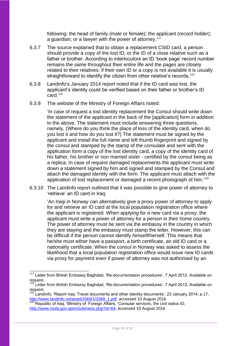following: the head of family (male or female); the applicant (record holder); a guardian; or a lawyer with the power of attorney.<sup>117</sup>

- 6.3.7 The source explained that to obtain a replacement CSID card, a person should provide a copy of the lost ID, or the ID of a close relative such as a father or brother. According to interlocutors an ID 'book page' record number remains the same throughout their entire life and the pages are closely related to their relatives: if their own ID or a copy is not available it is usually straightforward to identify the citizen from other relative's records.<sup>118</sup>
- 6.3.8 Landinfo's January 2014 report noted that if the ID card was lost, the applicant's identity could be verified based on their father or brother's ID  $card.<sup>119</sup>$
- 6.3.9 The website of the Ministry of Foreign Affairs noted:

'In case of request a lost identity replacement the Consul should write down the statement of the applicant in the back of the [application] form in addition to the above. The statement must include answering three questions, namely, (Where do you think the place of loss of the identity card, when do you lost it and how do you lost it?) The statement must be signed by the applicant and install the full name and left thumb fingerprint and signed by the consul and stamped by the stamp of the consulate and sent with the application form a copy of the lost identity card, a copy of the identity card of his father, his brother or non married sister - certified by the consul being as a replica. In case of request damaged replacements the applicant must write down a statement signed by him and signed and stamped by the Consul and attach the damaged identity with the form. The applicant must attach with the application of lost replacement or damaged a recent photograph of him.<sup>'120</sup>

6.3.10 The Landinfo report outlined that it was possible to give power of attorney to 'retrieve' an ID card in Iraq:

'An Iraqi in Norway can alternatively give a proxy power of attorney to apply for and retrieve an ID card at the local population registration office where the applicant is registered. When applying for a new card via a proxy, the applicant must write a power of attorney for a person in their home country. The power of attorney must be sent via the embassy in the country in which they are staying and the embassy must stamp the letter. However, this can be difficult if the person cannot identify himself/herself. This means that he/she must either have a passport, a birth certificate, an old ID card or a nationality certificate. When the consul in Norway was asked to assess the likelihood that a local population registration office would issue new ID cards via proxy for payment even if power of attorney was not authorised by an

-

<sup>&</sup>lt;sup>117</sup> Letter from British Embassy Baghdad, 'Re-documentation procedures', 7 April 2012. Available on request.

<sup>&</sup>lt;sup>118</sup> Letter from British Embassy Baghdad, 'Re-documentation procedures', 7 April 2012. Available on request.

<sup>&</sup>lt;sup>119</sup> Landinfo, 'Report Iraq: Travel documents and other identity documents', 23 January 2014, p.17, [http://www.landinfo.no/asset/3369/1/3369\\_1.pdf,](http://www.landinfo.no/asset/3369/1/3369_1.pdf) accessed 10 August 2016

 $120$  Republic of Iraq, 'Ministry of Foreign Affairs, 'Consular services, the civil status ID, [http://www.mofa.gov.iq/en/submenu.php?id=64,](http://www.mofa.gov.iq/en/submenu.php?id=64) accessed 10 August 2016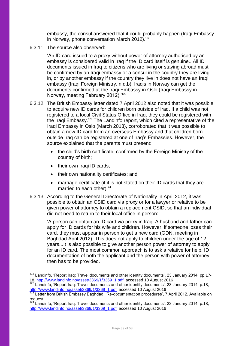embassy, the consul answered that it could probably happen (Iraqi Embassy in Norway, phone conversation March 2012).' 121

6.3.11 The source also observed:

'An ID card issued to a proxy without power of attorney authorised by an embassy is considered valid in Iraq if the ID card itself is genuine...All ID documents issued in Iraq to citizens who are living or staying abroad must be confirmed by an Iraqi embassy or a consul in the country they are living in, or by another embassy if the country they live in does not have an Iraqi embassy (Iraqi Foreign Ministry, n.d.b). Iraqis in Norway can get the documents confirmed at the Iraqi Embassy in Oslo (Iraqi Embassy in Norway, meeting February 2012).'<sup>122</sup>

- 6.3.12 The British Embassy letter dated 7 April 2012 also noted that it was possible to acquire new ID cards for children born outside of Iraq. If a child was not registered to a local Civil Status Office in Iraq, they could be registered with the Iraqi Embassy.<sup>123</sup> The Landinfo report, which cited a representative of the Iraqi Embassy in Oslo (March 2013), corroborated that it was possible to obtain a new ID card from an overseas Embassy and that children born outside Iraq can be registered at one of Iraq's Embassies. However, the source explained that the parents must present:
	- the child's birth certificate, confirmed by the Foreign Ministry of the country of birth;
	- their own Iraqi ID cards;
	- their own nationality certificates; and
	- marriage certificate (if it is not stated on their ID cards that they are married to each other) $124$
- 6.3.13 According to the General Directorate of Nationality in April 2012, it was possible to obtain an CSID card via proxy or for a lawyer or relative to be given power of attorney to obtain a replacement CSID, so that an individual did not need to return to their local office in person:

'A person can obtain an ID card via proxy in Iraq. A husband and father can apply for ID cards for his wife and children. However, if someone loses their card, they must appear in person to get a new card (GDN, meeting in Baghdad April 2012). This does not apply to children under the age of 12 years...It is also possible to give another person power of attorney to apply for an ID card. The most common approach is to ask a relative for help. ID documentation of both the applicant and the person with power of attorney then has to be provided.

<sup>-</sup><sup>121</sup> Landinfo, 'Report Iraq: Travel documents and other identity documents', 23 January 2014, pp.1718, [http://www.landinfo.no/asset/3369/1/3369\\_1.pdf,](http://www.landinfo.no/asset/3369/1/3369_1.pdf) accessed 10 August 2016

Landinfo, 'Report Iraq: Travel documents and other identity documents', 23 January 2014, p.18, [http://www.landinfo.no/asset/3369/1/3369\\_1.pdf,](http://www.landinfo.no/asset/3369/1/3369_1.pdf) accessed 10 August 2016

<sup>123</sup> Letter from British Embassy Baghdad, 'Re-documentation procedures', 7 April 2012. Available on request.

 $124$  Landinfo, 'Report Iraq: Travel documents and other identity documents', 23 January 2014, p.18, [http://www.landinfo.no/asset/3369/1/3369\\_1.pdf,](http://www.landinfo.no/asset/3369/1/3369_1.pdf) accessed 10 August 2016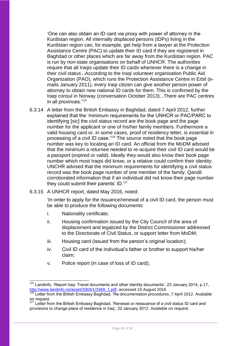'One can also obtain an ID card via proxy with power of attorney in the Kurdistan region. All internally displaced persons (IDPs) living in the Kurdistan region can, for example, get help from a lawyer at the Protection Assistance Centre (PAC) to update their ID card if they are registered in Baghdad or other places which are far away from the Kurdistan region. PAC is run by non-state organisations on behalf of UNHCR. The authorities require that all Iraqis update their ID cards whenever there is a change in their civil status...According to the Iraqi volunteer organisation Public Aid Organization (PAO), which runs the Protection Assistance Centre in Erbil (emails January 2011), every Iraqi citizen can give another person power of attorney to obtain new national ID cards for them. This is confirmed by the Iraqi consul in Norway (conversation October 2013)...There are PAC centres in all provinces.'<sup>125</sup>

- 6.3.14 A letter from the British Embassy in Baghdad, dated 7 April 2012, further explained that the 'minimum requirements for the UNHCR or PAC/PARC to identifying [sic] the civil status record are the book page and the page number for the applicant or one of his/her family members. Furthermore a valid housing card or, in some cases, proof of residency letter, is essential in processing of a civil ID case.'<sup>126</sup> The source noted that the book page number was key to locating an ID card. An official from the MoDM advised that the minimum a returnee needed to re-acquire their civil ID card would be a passport (expired or valid). Ideally they would also know their book page number which most Iraqis did know, or a relative could confirm their identity. UNCHR advised that the minimum requirements for identifying a civil status record was the book page number of one member of the family. Qandil corroborated information that if an individual did not know their page number they could submit their parents' ID.<sup>127</sup>
- 6.3.15 A UNHCR report, dated May 2016, noted:

'In order to apply for the issuance/renewal of a civil ID card, the person must be able to produce the following documents:

- i. Nationality certificate;
- ii. Housing confirmation issued by the City Council of the area of displacement and legalized by the District Commissioner addressed to the Directorate of Civil Status, or support letter from MoDM;
- iii. Housing card (issued from the person's original location);
- iv. Civil ID card of the individual's father or brother to support his/her claim;
- v. Police report (in case of loss of ID card);

<sup>1</sup>  $125$  Landinfo, 'Report Iraq: Travel documents and other identity documents', 23 January 2014, p.17, [http://www.landinfo.no/asset/3369/1/3369\\_1.pdf,](http://www.landinfo.no/asset/3369/1/3369_1.pdf) accessed 10 August 2016

<sup>126</sup> Letter from the British Embassy Baghdad, 'Re-documentation procedures, 7 April 2012. Available on request.

<sup>&</sup>lt;sup>127</sup> Letter from the British Embassy Baghdad, 'Renewal or reissuance of a civil status ID card and provisions to change place of residence in Iraq', 22 January 2012. Available on request.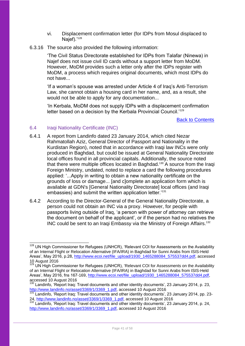- vi. Displacement confirmation letter (for IDPs from Mosul displaced to Naief). $128$
- 6.3.16 The source also provided the following information:

'The Civil Status Directorate established for IDPs from Talafar (Ninewa) in Najef does not issue civil ID cards without a support letter from MoDM. However, MoDM provides such a letter only after the IDPs register with MoDM, a process which requires original documents, which most IDPs do not have...

'If a woman's spouse was arrested under Article 4 of Iraq's Anti-Terrorism Law, she cannot obtain a housing card in her name, and, as a result, she would not be able to apply for any documentation...

'In Kerbala, MoDM does not supply IDPs with a displacement confirmation letter based on a decision by the Kerbala Provincial Council.<sup>'129</sup>

Back to Contents

### <span id="page-40-0"></span>6.4 Iraqi Nationality Certificate (INC)

-

- 6.4.1 A report from Landinfo dated 23 January 2014, which cited Nezar Rahmatollah Aziz, General Director of Passport and Nationality in the Kurdistan Region), noted that in accordance with Iragi law INCs were only produced in Baghdad, but could be issued at General Nationality Directorate local offices found in all provincial capitals. Additionally, the source noted that there were multiple offices located in Baghdad.<sup>130</sup> A source from the Iragi Foreign Ministry, undated, noted to replace a card the following procedures applied: '...Apply in writing to obtain a new nationality certificate on the grounds of loss or damage... [and c]omplete an application form which is available at GDN's [General Nationality Directorate] local offices (and Iraqi embassies) and submit the written application letter.<sup>'131</sup>
- 6.4.2 According to the Director-General of the General Nationality Directorate, a person could not obtain an INC via a proxy. However, for people with passports living outside of Iraq, 'a person with power of attorney can retrieve the document on behalf of the applicant', or if the person had no relatives the INC could be sent to an Iraqi Embassy via the Ministry of Foreign Affairs.<sup>132</sup>

<sup>&</sup>lt;sup>128</sup> UN High Commissioner for Refugees (UNHCR), 'Relevant COI for Assessments on the Availability of an Internal Flight or Relocation Alternative (IFA/IRA) in Baghdad for Sunni Arabs from ISIS-Held Areas', May 2016, p.28, [http://www.ecoi.net/file\\_upload/1930\\_1465288084\\_575537dd4.pdf,](http://www.ecoi.net/file_upload/1930_1465288084_575537dd4.pdf) accessed 10 August 2016

<sup>129</sup> UN High Commissioner for Refugees (UNHCR), 'Relevant COI for Assessments on the Availability of an Internal Flight or Relocation Alternative (IFA/IRA) in Baghdad for Sunni Arabs from ISIS-Held Areas', May 2016, fns 167-169, [http://www.ecoi.net/file\\_upload/1930\\_1465288084\\_575537dd4.pdf,](http://www.ecoi.net/file_upload/1930_1465288084_575537dd4.pdf) accessed 10 August 2016

<sup>&</sup>lt;sup>130</sup> Landinfo, 'Report Iraq: Travel documents and other identity documents', 23 January 2014, p. 23, [http://www.landinfo.no/asset/3369/1/3369\\_1.pdf,](http://www.landinfo.no/asset/3369/1/3369_1.pdf) accessed 10 August 2016

<sup>131</sup> Landinfo, 'Report Iraq: Travel documents and other identity documents', 23 January 2014, pp. 23-24, [http://www.landinfo.no/asset/3369/1/3369\\_1.pdf,](http://www.landinfo.no/asset/3369/1/3369_1.pdf) accessed 10 August 2016

<sup>132</sup> Landinfo, 'Report Iraq: Travel documents and other identity documents', 23 January 2014, p. 24, [http://www.landinfo.no/asset/3369/1/3369\\_1.pdf,](http://www.landinfo.no/asset/3369/1/3369_1.pdf) accessed 10 August 2016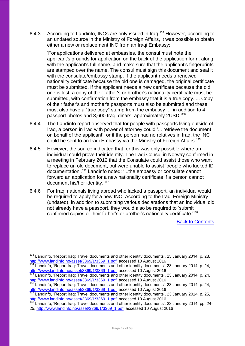6.4.3 According to Landinfo, INCs are only issued in Iraq.<sup>133</sup> However, according to an undated source in the Ministry of Foreign Affairs, it was possible to obtain either a new or replacement INC from an Iraqi Embassy:

'For applications delivered at embassies, the consul must note the applicant's grounds for application on the back of the application form, along with the applicant's full name, and make sure that the applicant's fingerprints are stamped over the name. The consul must sign this document and seal it with the consulate/embassy stamp. If the applicant needs a renewed nationality certificate because the old one is damaged, the original certificate must be submitted. If the applicant needs a new certificate because the old one is lost, a copy of their father's or brother's nationality certificate must be submitted, with confirmation from the embassy that it is a true copy. ... Copy of their father's and mother's passports must also be submitted and these must also have a "true copy" stamp from the embassy ...' in addition to 4 passport photos and 3,600 Iraqi dinars, approximately 2USD.' 134

- 6.4.4 The Landinfo report observed that for people with passports living outside of Iraq, a person in Iraq with power of attorney could '... retrieve the document on behalf of the applicant', or if the person had no relatives in Iraq, the INC could be sent to an Iraqi Embassy via the Ministry of Foreign Affairs.<sup>135</sup>
- 6.4.5 However, the source indicated that for this was only possible where an individual could prove their identity. The Iraqi Consul in Norway confirmed in a meeting in February 2012 that the Consulate could assist those who want to replace an old document, but were unable to assist 'people who lacked ID documentation'.<sup>136</sup> Landinfo noted: '...the embassy or consulate cannot forward an application for a new nationality certificate if a person cannot document his/her identity.'<sup>137</sup>
- 6.4.6 For Iraqi nationals living abroad who lacked a passport, an individual would be required to apply for a new INC. According to the Iraqi Foreign Ministry (undated), in addition to submitting various declarations that an individual did not already have a passport, they would also be required to 'submit confirmed copies of their father's or brother's nationality certificate.<sup>'138</sup>

Back to Contents

 $\overline{\phantom{a}}$ 

<sup>&</sup>lt;sup>133</sup> Landinfo, 'Report Iraq: Travel documents and other identity documents', 23 January 2014, p. 23, [http://www.landinfo.no/asset/3369/1/3369\\_1.pdf,](http://www.landinfo.no/asset/3369/1/3369_1.pdf) accessed 10 August 2016

Landinfo, 'Report Iraq: Travel documents and other identity documents', 23 January 2014, p. 24, [http://www.landinfo.no/asset/3369/1/3369\\_1.pdf,](http://www.landinfo.no/asset/3369/1/3369_1.pdf) accessed 10 August 2016

<sup>&</sup>lt;sup>135</sup> Landinfo, 'Report Iraq: Travel documents and other identity documents', 23 January 2014, p. 24, [http://www.landinfo.no/asset/3369/1/3369\\_1.pdf,](http://www.landinfo.no/asset/3369/1/3369_1.pdf) accessed 10 August 2016

<sup>136</sup> Landinfo, 'Report Iraq: Travel documents and other identity documents', 23 January 2014, p. 24, [http://www.landinfo.no/asset/3369/1/3369\\_1.pdf,](http://www.landinfo.no/asset/3369/1/3369_1.pdf) accessed 10 August 2016

<sup>137</sup> Landinfo, 'Report Iraq: Travel documents and other identity documents', 23 January 2014, p. 25, [http://www.landinfo.no/asset/3369/1/3369\\_1.pdf,](http://www.landinfo.no/asset/3369/1/3369_1.pdf) accessed 10 August 2016

<sup>138</sup> Landinfo, 'Report Iraq: Travel documents and other identity documents', 23 January 2014, pp. 24-25, [http://www.landinfo.no/asset/3369/1/3369\\_1.pdf,](http://www.landinfo.no/asset/3369/1/3369_1.pdf) accessed 10 August 2016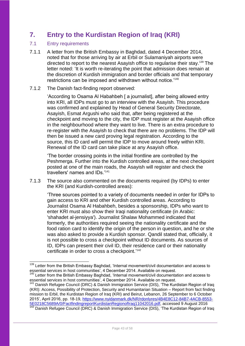# <span id="page-42-0"></span>**7. Entry to the Kurdistan Region of Iraq (KRI)**

## <span id="page-42-1"></span>7.1 Entry requirements

1

7.1.1 A letter from the British Embassy in Baghdad, dated 4 December 2014, noted that for those arriving by air at Erbil or Sulamaniyah airports were directed to report to the nearest Asayish office to regularise their stay. <sup>139</sup> The letter noted: 'It is worth re-iterating the point that admission does remain at the discretion of Kurdish immigration and border officials and that temporary restrictions can be imposed and withdrawn without notice.'<sup>140</sup>

#### 7.1.2 The Danish fact-finding report observed:

'According to Osama Al Habahbeh [ a journalist], after being allowed entry into KRI, all IDPs must go to an interview with the Asayish. This procedure was confirmed and explained by Head of General Security Directorate, Asayish, Esmat Argushi who said that, after being registered at the checkpoint and moving to the city, the IDP must register at the Asayish office in the neighbourhood where they want to live. There is an extra procedure to re-register with the Asayish to check that there are no problems. The IDP will then be issued a new card proving legal registration. According to the source, this ID card will permit the IDP to move around freely within KRI. Renewal of the ID card can take place at any Asayish office.

'The border crossing points in the initial frontline are controlled by the Peshmerga. Further into the Kurdish controlled areas, at the next checkpoint posted at one of the main roads, the Asayish will register and check the travellers' names and IDs.'<sup>141</sup>

7.1.3 The source also commented on the documents required (by IDPs) to enter the KRI (and Kurdish-controlled areas):

'Three sources pointed to a variety of documents needed in order for IDPs to gain access to KRI and other Kurdish controlled areas. According to Journalist Osama Al Habahbeh, besides a sponsorship, IDPs who want to enter KRI must also show their Iraqi nationality certificate (in Arabic: 'shahadet al-jensiyya'). Journalist Shalaw Mohammed indicated that formerly, the authorities required seeing the nationality certificate and the food ration card to identify the origin of the person in question, and he or she was also asked to provide a Kurdish sponsor. Qandil stated that, officially, it is not possible to cross a checkpoint without ID documents. As sources of ID, IDPs can present their civil ID, their residence card or their nationality certificate in order to cross a checkpoint.'<sup>142</sup>

<sup>&</sup>lt;sup>139</sup> Letter from the British Embassy Baghdad, 'Internal movement/civil documentation and access to essential services in host communities', 4 December 2014. Available on request.

<sup>&</sup>lt;sup>140</sup> Letter from the British Embassy Baghdad, 'Internal movement/civil documentation and access to essential services in host communities', 4 December 2014. Available on request.

<sup>&</sup>lt;sup>141</sup> Danish Refugee Council (DRC) & Danish Immigration Service (DIS), 'The Kurdistan Region of Iraq (KRI): Access, Possibility of Protection, Security and Humanitarian Situation – Report from fact finding mission to Erbil, the Kurdistan Region of Iraq (KRI) and Beirut, Lebanon, 26 September to 6 October 2015', April 2016, pp. 18-19, [https://www.nyidanmark.dk/NR/rdonlyres/4B4E8C12-84B7-4ACB-8553-](https://www.nyidanmark.dk/NR/rdonlyres/4B4E8C12-84B7-4ACB-8553-5E0218C5689A/0/FactfindingreportKurdistanRegionofIraq11042016.pdf) [5E0218C5689A/0/FactfindingreportKurdistanRegionofIraq11042016.pdf,](https://www.nyidanmark.dk/NR/rdonlyres/4B4E8C12-84B7-4ACB-8553-5E0218C5689A/0/FactfindingreportKurdistanRegionofIraq11042016.pdf) accessed 9 August 2016

Danish Refugee Council (DRC) & Danish Immigration Service (DIS), 'The Kurdistan Region of Iraq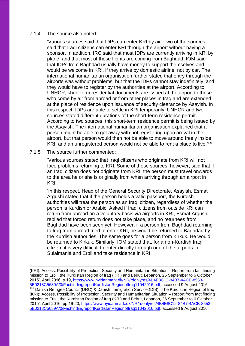#### 7.1.4 The source also noted:

'Various sources said that IDPs can enter KRI by air. Two of the sources said that Iraqi citizens can enter KRI through the airport without having a sponsor. In addition, IRC said that most IDPs are currently arriving in KRI by plane, and that most of these flights are coming from Baghdad. IOM said that IDPs from Baghdad usually have money to support themselves and would be welcome in KRI, if they arrive by domestic airline, not by car. The international humanitarian organisation further stated that entry through the airports was without problems, but that the IDPs cannot stay indefinitely, and they would have to register by the authorities at the airport. According to UNHCR, short-term residential documents are issued at the airport to those who come by air from abroad or from other places in Irag and are extended at the place of residence upon issuance of security clearance by Asayish. In this respect, IDPs are able to settle in KRI temporarily. UNHCR and two sources stated different durations of the short-term residence permit. According to two sources, this short-term residence permit is being issued by the Asayish. The international humanitarian organisation explained that a person might be able to get away with not registering upon arrival in the airport, but that person would then not be able to move around freely inside KRI, and an unregistered person would not be able to rent a place to live.<sup>'143</sup>

#### 7.1.5 The source further commented:

1

'Various sources stated that Iraqi citizens who originate from KRI will not face problems returning to KRI. Some of these sources, however, said that if an Iraqi citizen does not originate from KRI, the person must travel onwards to the area he or she is originally from when arriving through an airport in KRI.

'In this respect, Head of the General Security Directorate, Asayish, Esmat Argushi stated that if the person holds a valid passport, the Kurdish authorities will treat the person as an Iraqi citizen, regardless of whether the person is Kurdish or Arabic. Asked if Iraqi citizens from outside KRI can return from abroad on a voluntary basis via airports in KRI, Esmat Argushi replied that forced return does not take place, and no returnees from Baghdad have been seen yet. However, if a person from Baghdad returning to Iraq from abroad tried to enter KRI, he would be returned to Baghdad by the Kurdish authorities. The same goes for a person from Kirkuk. He would be returned to Kirkuk. Similarly, IOM stated that, for a non-Kurdish Iraqi citizen, it is very difficult to enter directly through one of the airports in Sulaimania and Erbil and take residence in KRI.

(KRI): Access, Possibility of Protection, Security and Humanitarian Situation – Report from fact finding mission to Erbil, the Kurdistan Region of Iraq (KRI) and Beirut, Lebanon, 26 September to 6 October 2015', April 2016, p.19, [https://www.nyidanmark.dk/NR/rdonlyres/4B4E8C12-84B7-4ACB-8553-](https://www.nyidanmark.dk/NR/rdonlyres/4B4E8C12-84B7-4ACB-8553-5E0218C5689A/0/FactfindingreportKurdistanRegionofIraq11042016.pdf) [5E0218C5689A/0/FactfindingreportKurdistanRegionofIraq11042016.pdf,](https://www.nyidanmark.dk/NR/rdonlyres/4B4E8C12-84B7-4ACB-8553-5E0218C5689A/0/FactfindingreportKurdistanRegionofIraq11042016.pdf) accessed 9 August 2016 <sup>143</sup> Danish Refugee Council (DRC) & Danish Immigration Service (DIS), 'The Kurdistan Region of Iraq (KRI): Access, Possibility of Protection, Security and Humanitarian Situation – Report from fact finding mission to Erbil, the Kurdistan Region of Iraq (KRI) and Beirut, Lebanon, 26 September to 6 October 2015', April 2016, pp.19-20, [https://www.nyidanmark.dk/NR/rdonlyres/4B4E8C12-84B7-4ACB-8553-](https://www.nyidanmark.dk/NR/rdonlyres/4B4E8C12-84B7-4ACB-8553-5E0218C5689A/0/FactfindingreportKurdistanRegionofIraq11042016.pdf) [5E0218C5689A/0/FactfindingreportKurdistanRegionofIraq11042016.pdf,](https://www.nyidanmark.dk/NR/rdonlyres/4B4E8C12-84B7-4ACB-8553-5E0218C5689A/0/FactfindingreportKurdistanRegionofIraq11042016.pdf) accessed 9 August 2016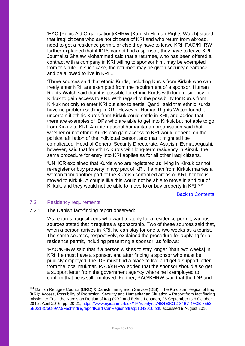'PAO [Pubic Aid Organisation]/KHRW [Kurdish Human Rights Watch] stated that Iraqi citizens who are not citizens of KRI and who return from abroad, need to get a residence permit, or else they have to leave KRI. PAO/KHRW further explained that if IDPs cannot find a sponsor, they have to leave KRI. Journalist Shalaw Mohammed said that a returnee, who has been offered a contract with a company in KRI willing to sponsor him, may be exempted from this rule. In such case, the returnee may be given security clearance and be allowed to live in KRI...

'Three sources said that ethnic Kurds, including Kurds from Kirkuk who can freely enter KRI, are exempted from the requirement of a sponsor. Human Rights Watch said that it is possible for ethnic Kurds with long residency in Kirkuk to gain access to KRI. With regard to the possibility for Kurds from Kirkuk not only to enter KRI but also to settle, Qandil said that ethnic Kurds have no problem settling in KRI. However, Human Rights Watch found it uncertain if ethnic Kurds from Kirkuk could settle in KRI, and added that there are examples of IDPs who are able to get into Kirkuk but not able to go from Kirkuk to KRI. An international humanitarian organisation said that whether or not ethnic Kurds can gain access to KRI would depend on the political affiliation of the individual person, and that it might still be complicated. Head of General Security Directorate, Asayish, Esmat Argushi, however, said that for ethnic Kurds with long-term residency in Kirkuk, the same procedure for entry into KRI applies as for all other Iraqi citizens.

'UNHCR explained that Kurds who are registered as living in Kirkuk cannot re-register or buy property in any part of KRI. If a man from Kirkuk marries a woman from another part of the Kurdish controlled areas or KRI, her file is moved to Kirkuk. A couple like this would not be able to move in and out of Kirkuk, and they would not be able to move to or buy property in KRI.<sup>144</sup>

Back to Contents

#### <span id="page-44-0"></span>7.2 Residency requirements

-

7.2.1 The Danish fact-finding report observed:

'As regards Iraqi citizens who want to apply for a residence permit, various sources stated that it requires a sponsorship. Two of these sources said that, when a person arrives in KRI, he can stay for one to two weeks as a tourist. The same sources, respectively, explained the procedure for applying for a residence permit, including presenting a sponsor, as follows:

'PAO/KHRW said that if a person wishes to stay longer [than two weeks] in KRI, he must have a sponsor, and after finding a sponsor who must be publicly employed, the IDP must find a place to live and get a support letter from the local mukhtar. PAO/KHRW added that the sponsor should also get a support letter from the government agency where he is employed to confirm that he is still employed. Further, PAO/KHRW said that the IDP and

<sup>&</sup>lt;sup>144</sup> Danish Refugee Council (DRC) & Danish Immigration Service (DIS), 'The Kurdistan Region of Iraq (KRI): Access, Possibility of Protection, Security and Humanitarian Situation – Report from fact finding mission to Erbil, the Kurdistan Region of Iraq (KRI) and Beirut, Lebanon, 26 September to 6 October 2015', April 2016, pp. 20-21, [https://www.nyidanmark.dk/NR/rdonlyres/4B4E8C12-84B7-4ACB-8553-](https://www.nyidanmark.dk/NR/rdonlyres/4B4E8C12-84B7-4ACB-8553-5E0218C5689A/0/FactfindingreportKurdistanRegionofIraq11042016.pdf) [5E0218C5689A/0/FactfindingreportKurdistanRegionofIraq11042016.pdf,](https://www.nyidanmark.dk/NR/rdonlyres/4B4E8C12-84B7-4ACB-8553-5E0218C5689A/0/FactfindingreportKurdistanRegionofIraq11042016.pdf) accessed 9 August 2016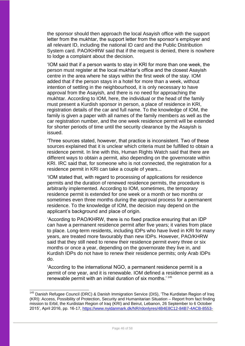the sponsor should then approach the local Asayish office with the support letter from the mukhtar, the support letter from the sponsor's employer and all relevant ID, including the national ID card and the Public Distribution System card. PAO/KHRW said that if the request is denied, there is nowhere to lodge a complaint about the decision.

'IOM said that if a person wants to stay in KRI for more than one week, the person must register at the local mukhtar's office and the closest Asayish centre in the area where he stays within the first week of the stay. IOM added that if the person stays in a hotel for more than a week, without intention of settling in the neighbourhood, it is only necessary to have approval from the Asayish, and there is no need for approaching the mukhtar. According to IOM, here, the individual or the head of the family must present a Kurdish sponsor in person, a place of residence in KRI, registration details of the car and full name. To the knowledge of IOM, the family is given a paper with all names of the family members as well as the car registration number, and the one week residence permit will be extended for shorter periods of time until the security clearance by the Asayish is issued.

'Three sources stated, however, that practice is inconsistent. Two of these sources explained that it is unclear which criteria must be fulfilled to obtain a residence permit. In line with this, Human Rights Watch said that there are different ways to obtain a permit, also depending on the governorate within KRI. IRC said that, for someone who is not connected, the registration for a residence permit in KRI can take a couple of years...

'IOM stated that, with regard to processing of applications for residence permits and the duration of renewed residence permits, the procedure is arbitrarily implemented. According to IOM, sometimes, the temporary residence permit is extended for one week or a month or two months or sometimes even three months during the approval process for a permanent residence. To the knowledge of IOM, the decision may depend on the applicant's background and place of origin.

'According to PAO/KHRW, there is no fixed practice ensuring that an IDP can have a permanent residence permit after five years; it varies from place to place. Long-term residents, including IDPs who have lived in KRI for many years, are treated more favourably than new IDPs. However, PAO/KHRW said that they still need to renew their residence permit every three or six months or once a year, depending on the governorate they live in, and Kurdish IDPs do not have to renew their residence permits; only Arab IDPs do.

'According to the international NGO, a permanent residence permit is a permit of one year, and it is renewable. IOM defined a residence permit as a renewable permit with an initial duration of six months.<sup>'145</sup>

1

Danish Refugee Council (DRC) & Danish Immigration Service (DIS), 'The Kurdistan Region of Iraq (KRI): Access, Possibility of Protection, Security and Humanitarian Situation – Report from fact finding mission to Erbil, the Kurdistan Region of Iraq (KRI) and Beirut, Lebanon, 26 September to 6 October 2015', April 2016, pp. 16-17, [https://www.nyidanmark.dk/NR/rdonlyres/4B4E8C12-84B7-4ACB-8553-](https://www.nyidanmark.dk/NR/rdonlyres/4B4E8C12-84B7-4ACB-8553-5E0218C5689A/0/FactfindingreportKurdistanRegionofIraq11042016.pdf)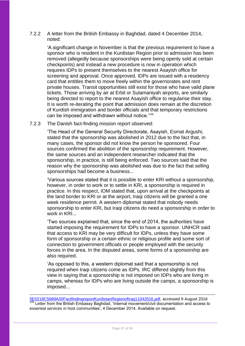7.2.2 A letter from the British Embassy in Baghdad, dated 4 December 2014, noted:

'A significant change in November is that the previous requirement to have a sponsor who is resident in the Kurdistan Region prior to admission has been removed (allegedly because sponsorships were being openly sold at certain checkpoints) and instead a new procedure is now in operation which requires IDPs to present themselves to the nearest Asayish office for screening and approval. Once approved, IDPs are issued with a residency card that entitles them to move freely within the governorates and rent private houses. Transit opportunities still exist for those who have valid plane tickets. Those arriving by air at Erbil or Sulamaniyah airports, are similarly being directed to report to the nearest Asayish office to regularise their stay. It is worth re-iterating the point that admission does remain at the discretion of Kurdish immigration and border officials and that temporary restrictions can be imposed and withdrawn without notice.'<sup>146</sup>

7.2.3 The Danish fact-finding mission report observed:

'The Head of the General Security Directorate, Asayish, Esmat Argushi, stated that the sponsorship was abolished in 2012 due to the fact that, in many cases, the sponsor did not know the person he sponsored. Four sources confirmed the abolition of the sponsorship requirement. However, the same sources and an independent researcher indicated that the sponsorship, in practice, is still being enforced. Two sources said that the reason why the sponsorship was abolished was due to the fact that selling sponsorships had become a business...

'Various sources stated that it is possible to enter KRI without a sponsorship, however, in order to work or to settle in KRI, a sponsorship is required in practice. In this respect, IOM stated that, upon arrival at the checkpoints at the land border to KRI or at the airport, Iraqi citizens will be granted a one week residence permit. A western diplomat stated that nobody needs sponsorship to enter KRI, but Iraqi citizens do need a sponsorship in order to work in KRI...

'Two sources explained that, since the end of 2014, the authorities have started imposing the requirement for IDPs to have a sponsor. UNHCR said that access to KRI may be very difficult for IDPs, unless they have some form of sponsorship or a certain ethnic or religious profile and some sort of connection to government officials or people employed with the security forces in the area. In the disputed areas, some forms of a sponsorship are also required.

'As opposed to this, a western diplomat said that a sponsorship is not required when Iraqi citizens come as IDPs. IRC differed slightly from this view in saying that a sponsorship is not imposed on IDPs who are living in camps, whereas for IDPs who are living outside the camps, a sponsorship is imposed...

1

<sup>5</sup>E0218C5689A/0/FactfindingreportKurdistanRegionofIraq11042016.pdf, accessed 9 August 2016 146 Letter from the British Embassy Baghdad, 'Internal movement/civil documentation and access to essential services in host communities', 4 December 2014. Available on request.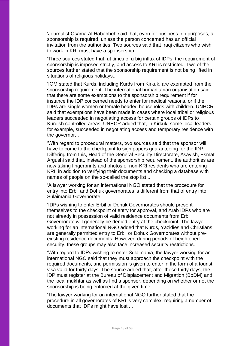'Journalist Osama Al Habahbeh said that, even for business trip purposes, a sponsorship is required, unless the person concerned has an official invitation from the authorities. Two sources said that Iraqi citizens who wish to work in KRI must have a sponsorship...

'Three sources stated that, at times of a big influx of IDPs, the requirement of sponsorship is imposed strictly, and access to KRI is restricted. Two of the sources further stated that the sponsorship requirement is not being lifted in situations of religious holidays...

'IOM stated that Kurds, including Kurds from Kirkuk, are exempted from the sponsorship requirement. The international humanitarian organisation said that there are some exemptions to the sponsorship requirement if for instance the IDP concerned needs to enter for medical reasons, or if the IDPs are single women or female headed households with children. UNHCR said that exemptions have been made in cases where local tribal or religious leaders succeeded in negotiating access for certain groups of IDPs to Kurdish controlled areas. UNHCR added that, in Kirkuk, some local leaders, for example, succeeded in negotiating access and temporary residence with the governor...

'With regard to procedural matters, two sources said that the sponsor will have to come to the checkpoint to sign papers guaranteeing for the IDP. Differing from this, Head of the General Security Directorate, Asayish, Esmat Argushi said that, instead of the sponsorship requirement, the authorities are now taking fingerprints and photos of non-KRI residents who are entering KRI, in addition to verifying their documents and checking a database with names of people on the so-called the stop list...

'A lawyer working for an international NGO stated that the procedure for entry into Erbil and Dohuk governorates is different from that of entry into Sulaimania Governorate:

'IDPs wishing to enter Erbil or Dohuk Governorates should present themselves to the checkpoint of entry for approval, and Arab IDPs who are not already in possession of valid residence documents from Erbil Governorate will generally be denied entry at the checkpoint. The lawyer working for an international NGO added that Kurds, Yazidies and Christians are generally permitted entry to Erbil or Dohuk Governorates without preexisting residence documents. However, during periods of heightened security, these groups may also face increased security restrictions.

'With regard to IDPs wishing to enter Sulaimania, the lawyer working for an international NGO said that they must approach the checkpoint with the required documents, and permission is given to enter in the form of a tourist visa valid for thirty days. The source added that, after these thirty days, the IDP must register at the Bureau of Displacement and Migration (BoDM) and the local mukhtar as well as find a sponsor, depending on whether or not the sponsorship is being enforced at the given time.

'The lawyer working for an international NGO further stated that the procedure in all governorates of KRI is very complex, requiring a number of documents that IDPs might have lost....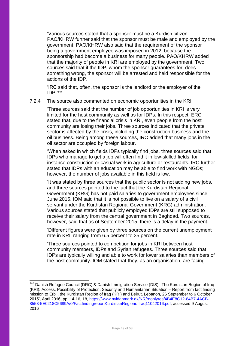'Various sources stated that a sponsor must be a Kurdish citizen. PAO/KHRW further said that the sponsor must be male and employed by the government. PAO/KHRW also said that the requirement of the sponsor being a government employee was imposed in 2012, because the sponsorship had become a business for many people. PAO/KHRW added that the majority of people in KRI are employed by the government. Two sources said that if the IDP, whom the sponsor guarantees for, does something wrong, the sponsor will be arrested and held responsible for the actions of the IDP.

'IRC said that, often, the sponsor is the landlord or the employer of the IDP.'<sup>147</sup>

7.2.4 The source also commented on economic opportunities in the KRI:

'Three sources said that the number of job opportunities in KRI is very limited for the host community as well as for IDPs. In this respect, ERC stated that, due to the financial crisis in KRI, even people from the host community are losing their jobs. Three sources indicated that the private sector is affected by the crisis, including the construction business and the oil business. Being among these sources, IRC added that many jobs in the oil sector are occupied by foreign labour.

'When asked in which fields IDPs typically find jobs, three sources said that IDPs who manage to get a job will often find it in low-skilled fields, for instance construction or casual work in agriculture or restaurants. IRC further stated that IDPs with an education may be able to find work with NGOs; however, the number of jobs available in this field is low.

'It was stated by three sources that the public sector is not adding new jobs, and three sources pointed to the fact that the Kurdistan Regional Government (KRG) has not paid salaries to government employees since June 2015. IOM said that it is not possible to live on a salary of a civil servant under the Kurdistan Regional Government (KRG) administration. Various sources stated that publicly employed IDPs are still supposed to receive their salary from the central government in Baghdad. Two sources, however, said that as of September 2015, there is a delay in the payment.

'Different figures were given by three sources on the current unemployment rate in KRI, ranging from 6.5 percent to 35 percent.

'Three sources pointed to competition for jobs in KRI between host community members, IDPs and Syrian refugees. Three sources said that IDPs are typically willing and able to work for lower salaries than members of the host community. IOM stated that they, as an organisation, are facing

1

Danish Refugee Council (DRC) & Danish Immigration Service (DIS), 'The Kurdistan Region of Iraq (KRI): Access, Possibility of Protection, Security and Humanitarian Situation – Report from fact finding mission to Erbil, the Kurdistan Region of Iraq (KRI) and Beirut, Lebanon, 26 September to 6 October 2015', April 2016, pp. 14-16, 18, [https://www.nyidanmark.dk/NR/rdonlyres/4B4E8C12-84B7-4ACB-](https://www.nyidanmark.dk/NR/rdonlyres/4B4E8C12-84B7-4ACB-8553-5E0218C5689A/0/FactfindingreportKurdistanRegionofIraq11042016.pdf)[8553-5E0218C5689A/0/FactfindingreportKurdistanRegionofIraq11042016.pdf,](https://www.nyidanmark.dk/NR/rdonlyres/4B4E8C12-84B7-4ACB-8553-5E0218C5689A/0/FactfindingreportKurdistanRegionofIraq11042016.pdf) accessed 9 August 2016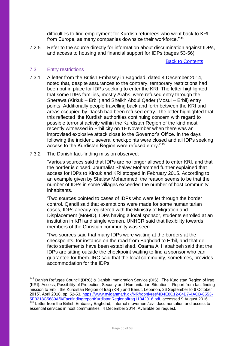difficulties to find employment for Kurdish returnees who went back to KRI from Europe, as many companies downsize their workforce.'<sup>148</sup>

7.2.5 Refer to the source directly for information about discrimination against IDPs, and access to housing and financial support for IDPs (pages 53-56).

Back to Contents

#### <span id="page-49-0"></span>7.3 Entry restrictions

1

7.3.1 A letter from the British Embassy in Baghdad, dated 4 December 2014, noted that, despite assurances to the contrary, temporary restrictions had been put in place for IDPs seeking to enter the KRI. The letter highlighted that some IDPs families, mostly Arabs, were refused entry through the Sherawa (Kirkuk – Erbil) and Sheikh Abdul Qader (Mosul – Erbil) entry points. Additionally people travelling back and forth between the KRI and areas occupied by Daesh had been refused entry. The letter highlighted that this reflected 'the Kurdish authorities continuing concern with regard to possible terrorist activity within the Kurdistan Region of the kind most recently witnessed in Erbil city on 19 November when there was an improvised explosive attack close to the Governor's Office. In the days following the incident, several checkpoints were closed and all IDPs seeking access to the Kurdistan Region were refused entry.'<sup>149</sup>

#### 7.3.2 The Danish fact-finding mission observed:

'Various sources said that IDPs are no longer allowed to enter KRI, and that the border is closed. Journalist Shalaw Mohammed further explained that access for IDPs to Kirkuk and KRI stopped in February 2015. According to an example given by Shalaw Mohammed, the reason seems to be that the number of IDPs in some villages exceeded the number of host community inhabitants.

'Two sources pointed to cases of IDPs who were let through the border control. Qandil said that exemptions were made for some humanitarian cases, IDPs already registered with the Ministry of Migration and Displacement (MoMD), IDPs having a local sponsor, students enrolled at an institution in KRI and single women. UNHCR said that flexibility towards members of the Christian community was seen.

'Two sources said that many IDPs were waiting at the borders at the checkpoints, for instance on the road from Baghdad to Erbil, and that de facto settlements have been established. Osama Al Habahbeh said that the IDPs are sitting outside the checkpoint waiting to find a sponsor who can guarantee for them. IRC said that the local community, sometimes, provides accommodation for the IDPs.

<sup>&</sup>lt;sup>148</sup> Danish Refugee Council (DRC) & Danish Immigration Service (DIS), 'The Kurdistan Region of Iraq (KRI): Access, Possibility of Protection, Security and Humanitarian Situation – Report from fact finding mission to Erbil, the Kurdistan Region of Iraq (KRI) and Beirut, Lebanon, 26 September to 6 October 2015', April 2016, pp. 52-53, [https://www.nyidanmark.dk/NR/rdonlyres/4B4E8C12-84B7-4ACB-8553-](https://www.nyidanmark.dk/NR/rdonlyres/4B4E8C12-84B7-4ACB-8553-5E0218C5689A/0/FactfindingreportKurdistanRegionofIraq11042016.pdf) [5E0218C5689A/0/FactfindingreportKurdistanRegionofIraq11042016.pdf,](https://www.nyidanmark.dk/NR/rdonlyres/4B4E8C12-84B7-4ACB-8553-5E0218C5689A/0/FactfindingreportKurdistanRegionofIraq11042016.pdf) accessed 9 August 2016 <sup>149</sup> Letter from the British Embassy Baghdad, 'Internal movement/civil documentation and access to

essential services in host communities', 4 December 2014. Available on request.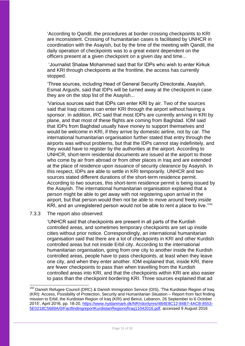'According to Qandil, the procedures at border crossing checkpoints to KRI are inconsistent. Crossing of humanitarian cases is facilitated by UNHCR in coordination with the Asayish, but by the time of the meeting with Qandil, the daily operation of checkpoints was to a great extent dependent on the officers present at a given checkpoint on a given day and time...

'Journalist Shalaw Mohammed said that for IDPs who wish to enter Kirkuk and KRI through checkpoints at the frontline, the access has currently stopped.

'Three sources, including Head of General Security Directorate, Asayish, Esmat Argushi, said that IDPs will be turned away at the checkpoint in case they are on the stop list of the Asayish...

'Various sources said that IDPs can enter KRI by air. Two of the sources said that Iraqi citizens can enter KRI through the airport without having a sponsor. In addition, IRC said that most IDPs are currently arriving in KRI by plane, and that most of these flights are coming from Baghdad. IOM said that IDPs from Baghdad usually have money to support themselves and would be welcome in KRI, if they arrive by domestic airline, not by car. The international humanitarian organisation further stated that entry through the airports was without problems, but that the IDPs cannot stay indefinitely, and they would have to register by the authorities at the airport. According to UNHCR, short-term residential documents are issued at the airport to those who come by air from abroad or from other places in Iraq and are extended at the place of residence upon issuance of security clearance by Asayish. In this respect, IDPs are able to settle in KRI temporarily. UNHCR and two sources stated different durations of the short-term residence permit. According to two sources, this short-term residence permit is being issued by the Asayish. The international humanitarian organisation explained that a person might be able to get away with not registering upon arrival in the airport, but that person would then not be able to move around freely inside KRI, and an unregistered person would not be able to rent a place to live.'<sup>150</sup>

#### 7.3.3 The report also observed:

-

'UNHCR said that checkpoints are present in all parts of the Kurdish controlled areas, and sometimes temporary checkpoints are set up inside cities without prior notice. Correspondingly, an international humanitarian organisation said that there are a lot of checkpoints in KRI and other Kurdish controlled areas but not inside Erbil city. According to the international humanitarian organisation, going from one city to another inside the Kurdish controlled areas, people have to pass checkpoints, at least when they leave one city, and when they enter another. IOM explained that, inside KRI, there are fewer checkpoints to pass than when travelling from the Kurdish controlled areas into KRI, and that the checkpoints within KRI are also easier to pass than the checkpoint bordering KRI. Three sources explained that ad

<sup>&</sup>lt;sup>150</sup> Danish Refugee Council (DRC) & Danish Immigration Service (DIS), 'The Kurdistan Region of Iraq (KRI): Access, Possibility of Protection, Security and Humanitarian Situation – Report from fact finding mission to Erbil, the Kurdistan Region of Iraq (KRI) and Beirut, Lebanon, 26 September to 6 October 2015', April 2016, pp. 18-20, [https://www.nyidanmark.dk/NR/rdonlyres/4B4E8C12-84B7-4ACB-8553-](https://www.nyidanmark.dk/NR/rdonlyres/4B4E8C12-84B7-4ACB-8553-5E0218C5689A/0/FactfindingreportKurdistanRegionofIraq11042016.pdf) [5E0218C5689A/0/FactfindingreportKurdistanRegionofIraq11042016.pdf,](https://www.nyidanmark.dk/NR/rdonlyres/4B4E8C12-84B7-4ACB-8553-5E0218C5689A/0/FactfindingreportKurdistanRegionofIraq11042016.pdf) accessed 9 August 2016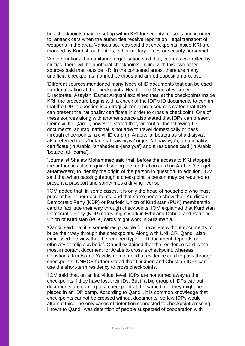hoc checkpoints may be set up within KRI for security reasons and in order to ransack cars when the authorities receive reports on illegal transport of weapons in the area. Various sources said that checkpoints inside KRI are manned by Kurdish authorities, either military forces or security personnel...

'An international humanitarian organisation said that, in areas controlled by militias, there will be unofficial checkpoints. In line with this, two other sources said that, outside KRI in the contested areas, there are many unofficial checkpoints manned by tribes and armed opposition groups...

'Different sources mentioned many types of ID documents that can be used for identification at the checkpoints. Head of the General Security Directorate, Asayish, Esmat Argushi explained that, at the checkpoints inside KRI, the procedure begins with a check of the IDP's ID documents to confirm that the IDP in question is an Iraqi citizen. Three sources stated that IDPs can present the nationality certificate in order to cross a checkpoint. One of these sources along with another source also stated that IDPs can present their civil ID. Qandil, however, stated that, without all the following ID documents, an Iraqi national is not able to travel domestically or pass through checkpoints: a civil ID card (in Arabic: 'al-betaqa as-shakhsiyya', also referred to as 'betaqet al-hawwiyya' or just 'al-hawiyya'), a nationality certificate (in Arabic: 'shahadet al-jensiyya') and a residence card (in Arabic: 'betaqet al-'iqama').

'Journalist Shalaw Mohammed said that, before the access to KRI stopped, the authorities also required seeing the food ration card (in Arabic: 'betaqet at-tamween') to identify the origin of the person in question. In addition, IOM said that when passing through a checkpoint, a person may be required to present a passport and sometimes a driving license.

'IOM added that, in some cases, it is only the head of household who must present his or her documents, and that some people show their Kurdistan Democratic Party (KDP) or Patriotic Union of Kurdistan (PUK) membership card to facilitate their way through checkpoints. IOM explained that Kurdistan Democratic Party (KDP) cards might work in Erbil and Dohuk, and Patriotic Union of Kurdistan (PUK) cards might work in Sulaimania.

'Qandil said that it is sometimes possible for travellers without documents to bribe their way through the checkpoints. Along with UNHCR, Qandil also expressed the view that the required type of ID document depends on ethnicity or religious belief. Qandil explained that the residence card is the most important document for Arabs to cross a checkpoint, whereas Christians, Kurds and Yazidis do not need a residence card to pass through checkpoints. UNHCR further stated that Turkmen and Christian IDPs can use the short-term residency to cross checkpoints.

'IOM said that, on an individual level, IDPs are not turned away at the checkpoints if they have lost their IDs. But if a big group of IDPs without documents are coming to a checkpoint at the same time, they might be placed in an IDP camp. According to Qandil, it is common knowledge that checkpoints cannot be crossed without documents, so few IDPs would attempt this. The only cases of detention connected to checkpoint crossing known to Qandil was detention of people suspected of cooperation with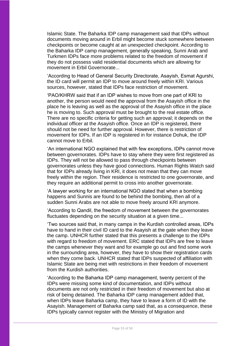Islamic State. The Baharka IDP camp management said that IDPs without documents moving around in Erbil might become stuck somewhere between checkpoints or become caught at an unexpected checkpoint. According to the Baharka IDP camp management, generally speaking, Sunni Arab and Turkmen IDPs face more problems related to the freedom of movement if they do not possess valid residential documents which are allowing for movement in Erbil Governorate...

'According to Head of General Security Directorate, Asayish, Esmat Agurshi, the ID card will permit an IDP to move around freely within KRI. Various sources, however, stated that IDPs face restriction of movement.

'PAO/KHRW said that if an IDP wishes to move from one part of KRI to another, the person would need the approval from the Asayish office in the place he is leaving as well as the approval of the Asayish office in the place he is moving to. Such approval must be brought to the real estate office. There are no specific criteria for getting such an approval; it depends on the individual officer at the Asayish office. Once an IDP is registered, there should not be need for further approval. However, there is restriction of movement for IDPs. If an IDP is registered in for instance Dohuk, the IDP cannot move to Erbil.

'An international NGO explained that with few exceptions, IDPs cannot move between governorates. IDPs have to stay where they were first registered as IDPs. They will not be allowed to pass through checkpoints between governorates unless they have good connections. Human Rights Watch said that for IDPs already living in KRI, it does not mean that they can move freely within the region. Their residence is restricted to one governorate, and they require an additional permit to cross into another governorate.

'A lawyer working for an international NGO stated that when a bombing happens and Sunnis are found to be behind the bombing, then all of a sudden Sunni Arabs are not able to move freely around KRI anymore.

'According to Qandil, the freedom of movement between the governorates fluctuates depending on the security situation at a given time...

'Two sources said that, in many camps in the Kurdish controlled areas, IDPs have to hand in their civil ID card to the Asayish at the gate when they leave the camp. UNHCR further stated that this presents a challenge to the IDPs with regard to freedom of movement. ERC stated that IDPs are free to leave the camps whenever they want and for example go out and find some work in the surrounding area, however, they have to show their registration cards when they come back. UNHCR stated that IDPs suspected of affiliation with Islamic State are being met with restrictions in their freedom of movement from the Kurdish authorities.

'According to the Baharka IDP camp management, twenty percent of the IDPs were missing some kind of documentation, and IDPs without documents are not only restricted in their freedom of movement but also at risk of being detained. The Baharka IDP camp management added that, when IDPs leave Baharka camp, they have to leave a form of ID with the Asayish. Management of Baharka camp said that, as a consequence, these IDPs typically cannot register with the Ministry of Migration and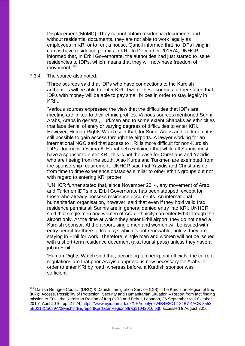Displacement (MoMD). They cannot obtain residential documents and without residential documents, they are not able to work legally as employees in KRI or to rent a house. Qandil informed that no IDPs living in camps have residence permits in KRI. In December 201574, UNHCR informed that, in Erbil Governorate, the authorities had just started to issue residencies to IDPs, which means that they will now have freedom of movement<sup>'151</sup>

#### 7.3.4 The source also noted:

-

'Three sources said that IDPs who have connections to the Kurdish authorities will be able to enter KRI. Two of these sources further stated that IDPs with money will be able to pay small bribes in order to stay legally in KRI...

'Various sources expressed the view that the difficulties that IDPs are meeting are linked to their ethnic profiles. Various sources mentioned Sunni Arabs, Arabs in general, Turkmen and to some extent Shabaks as ethnicities that face denial of entry or varying degrees of difficulties to enter KRI. However, Human Rights Watch said that, for Sunni Arabs and Turkmen, it is still possible to gain access through the airports. A lawyer working for an international NGO said that access to KRI is more difficult for non-Kurdish IDPs. Journalist Osama Al Habahbeh explained that while all Sunnis must have a sponsor to enter KRI, this is not the case for Christians and Yazidis who are fleeing from the south. Also Kurds and Turkmen are exempted from the sponsorship requirement. UNHCR said that Yazidis and Christians do from time to time experience obstacles similar to other ethnic groups but not with regard to entering KRI proper.

'UNHCR further stated that, since November 2014, any movement of Arab and Turkmen IDPs into Erbil Governorate has been stopped, except for those who already possess residence documents. An international humanitarian organisation, however, said that even if they hold valid Iraqi residence permits all Sunnis are in general denied entry into KRI. UNHCR said that single men and women of Arab ethnicity can enter Erbil through the airport only. At the time at which they enter Erbil airport, they do not need a Kurdish sponsor. At the airport, single men and women will be issued with entry permit for three to five days which is not renewable, unless they are staying in Erbil for work. Therefore, single men and women will not be issued with a short-term residence document (aka tourist pass) unless they have a job in Erbil.

'Human Rights Watch said that, according to checkpoint officials, the current regulations are that prior Asayish approval is now necessary for Arabs in order to enter KRI by road, whereas before, a Kurdish sponsor was sufficient.

<sup>&</sup>lt;sup>151</sup> Danish Refugee Council (DRC) & Danish Immigration Service (DIS), 'The Kurdistan Region of Iraq (KRI): Access, Possibility of Protection, Security and Humanitarian Situation – Report from fact finding mission to Erbil, the Kurdistan Region of Iraq (KRI) and Beirut, Lebanon, 26 September to 6 October 2015', April 2016, pp. 21-24, [https://www.nyidanmark.dk/NR/rdonlyres/4B4E8C12-84B7-4ACB-8553-](https://www.nyidanmark.dk/NR/rdonlyres/4B4E8C12-84B7-4ACB-8553-5E0218C5689A/0/FactfindingreportKurdistanRegionofIraq11042016.pdf) [5E0218C5689A/0/FactfindingreportKurdistanRegionofIraq11042016.pdf,](https://www.nyidanmark.dk/NR/rdonlyres/4B4E8C12-84B7-4ACB-8553-5E0218C5689A/0/FactfindingreportKurdistanRegionofIraq11042016.pdf) accessed 9 August 2016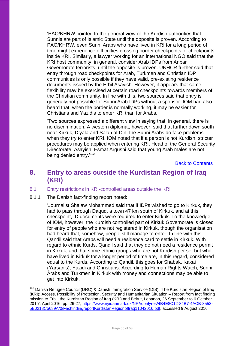'PAO/KHRW pointed to the general view of the Kurdish authorities that Sunnis are part of Islamic State until the opposite is proven. According to PAO/KHRW, even Sunni Arabs who have lived in KRI for a long period of time might experience difficulties crossing border checkpoints or checkpoints inside KRI. Similarly, a lawyer working for an international NGO said that the KRI host community, in general, consider Arab IDPs from Anbar Governorate terrorists, until the opposite is proven. UNHCR further said that entry through road checkpoints for Arab, Turkmen and Christian IDP communities is only possible if they have valid, pre-existing residence documents issued by the Erbil Asayish. However, it appears that some flexibility may be exercised at certain road checkpoints towards members of the Christian community. In line with this, two sources said that entry is generally not possible for Sunni Arab IDPs without a sponsor. IOM had also heard that, when the border is normally working, it may be easier for Christians and Yazidis to enter KRI than for Arabs.

'Two sources expressed a different view in saying that, in general, there is no discrimination. A western diplomat, however, said that further down south near Kirkuk, Diyala and Salah al-Din, the Sunni Arabs do face problems when they try to enter KRI. IOM noted that if a person is not Kurdish, stricter procedures may be applied when entering KRI. Head of the General Security Directorate, Asayish, Esmat Argushi said that young Arab males are not being denied entry.'<sup>152</sup>

Back to Contents

## <span id="page-54-0"></span>**8. Entry to areas outside the Kurdistan Region of Iraq (KRI)**

#### <span id="page-54-1"></span>8.1 Entry restrictions in KRI-controlled areas outside the KRI

8.1.1 The Danish fact-finding report noted:

-

'Journalist Shalaw Mohammed said that if IDPs wished to go to Kirkuk, they had to pass through Daquq, a town 47 km south of Kirkuk, and at this checkpoint, ID documents were required to enter Kirkuk. To the knowledge of IOM, however, the Kurdish controlled part of Kirkuk Governorate is closed for entry of people who are not registered in Kirkuk, though the organisation had heard that, somehow, people still manage to enter. In line with this, Qandil said that Arabs will need a residence card to settle in Kirkuk. With regard to ethnic Kurds, Qandil said that they do not need a residence permit in Kirkuk, and that some ethnic groups who are not Kurdish per se, but who have lived in Kirkuk for a longer period of time are, in this regard, considered equal to the Kurds. According to Qandil, this goes for Shabak, Kakai (Yarsanis), Yazidi and Christians. According to Human Rights Watch, Sunni Arabs and Turkmen in Kirkuk with money and connections may be able to get into Kirkuk.

<sup>&</sup>lt;sup>152</sup> Danish Refugee Council (DRC) & Danish Immigration Service (DIS), 'The Kurdistan Region of Iraq (KRI): Access, Possibility of Protection, Security and Humanitarian Situation – Report from fact finding mission to Erbil, the Kurdistan Region of Iraq (KRI) and Beirut, Lebanon, 26 September to 6 October 2015', April 2016, pp. 26-27, [https://www.nyidanmark.dk/NR/rdonlyres/4B4E8C12-84B7-4ACB-8553-](https://www.nyidanmark.dk/NR/rdonlyres/4B4E8C12-84B7-4ACB-8553-5E0218C5689A/0/FactfindingreportKurdistanRegionofIraq11042016.pdf) [5E0218C5689A/0/FactfindingreportKurdistanRegionofIraq11042016.pdf,](https://www.nyidanmark.dk/NR/rdonlyres/4B4E8C12-84B7-4ACB-8553-5E0218C5689A/0/FactfindingreportKurdistanRegionofIraq11042016.pdf) accessed 9 August 2016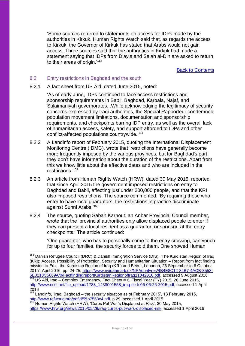'Some sources referred to statements on access for IDPs made by the authorities in Kirkuk. Human Rights Watch said that, as regards the access to Kirkuk, the Governor of Kirkuk has stated that Arabs would not gain access. Three sources said that the authorities in Kirkuk had made a statement saying that IDPs from Diayla and Salah al-Din are asked to return to their areas of origin.<sup>'153</sup>

Back to Contents

#### <span id="page-55-0"></span>8.2 Entry restrictions in Baghdad and the south

 $\overline{\phantom{a}}$ 

8.2.1 A fact sheet from US Aid, dated June 2015, noted:

'As of early June, IDPs continued to face access restrictions and sponsorship requirements in Babil, Baghdad, Karbala, Najaf, and Sulaimaniyah governorates...While acknowledging the legitimacy of security concerns expressed by Iraqi authorities, the Special Rapporteur condemned population movement limitations, documentation and sponsorship requirements, and checkpoints barring IDP entry, as well as the overall lack of humanitarian access, safety, and support afforded to IDPs and other conflict-affected populations countrywide.'<sup>154</sup>

- 8.2.2 A Landinfo report of February 2015, quoting the International Displacement Monitoring Centre (IDMC), wrote that 'restrictions have generally become more frequently imposed by the various provinces, but for Baghdad's part, they don't have information about the duration of the restrictions. Apart from this we know little about the effective dates and who are included in the restrictions<sup>'155</sup>
- 8.2.3 An article from Human Rights Watch (HRW), dated 30 May 2015, reported that since April 2015 the government imposed restrictions on entry to Baghdad and Babil, affecting just under 200,000 people, and that the KRI also imposed restrictions. The source commented: 'By requiring those who enter to have local guarantors, the restrictions in practice discriminate against Sunni Arabs.'<sup>156</sup>
- 8.2.4 The source, quoting Sabah Karhout, an Anbar Provincial Council member, wrote that the 'provincial authorities only allow displaced people to enter if they can present a local resident as a guarantor, or sponsor, at the entry checkpoints.' The article continued:

'One guarantor, who has to personally come to the entry crossing, can vouch for up to four families, the security forces told them. One showed Human

<sup>155</sup> Landinfo, 'Iraq: Baghdad – the security situation as of February 2015', 13 February 2015, [http://www.refworld.org/pdfid/55b7563c4.pdf,](http://www.refworld.org/pdfid/55b7563c4.pdf) p.29, accessed 1 April 2015

<sup>&</sup>lt;sup>153</sup> Danish Refugee Council (DRC) & Danish Immigration Service (DIS), 'The Kurdistan Region of Iraq (KRI): Access, Possibility of Protection, Security and Humanitarian Situation – Report from fact finding mission to Erbil, the Kurdistan Region of Iraq (KRI) and Beirut, Lebanon, 26 September to 6 October 2015', April 2016, pp. 24-25, [https://www.nyidanmark.dk/NR/rdonlyres/4B4E8C12-84B7-4ACB-8553-](https://www.nyidanmark.dk/NR/rdonlyres/4B4E8C12-84B7-4ACB-8553-5E0218C5689A/0/FactfindingreportKurdistanRegionofIraq11042016.pdf) [5E0218C5689A/0/FactfindingreportKurdistanRegionofIraq11042016.pdf,](https://www.nyidanmark.dk/NR/rdonlyres/4B4E8C12-84B7-4ACB-8553-5E0218C5689A/0/FactfindingreportKurdistanRegionofIraq11042016.pdf) accessed 9 August 2016 <sup>154</sup> US Aid, Iraq – Complex Emergency, Fact Sheet # 6, Fiscal Year (FY) 2015, 26 June 2015, [http://www.ecoi.net/file\\_upload/1788\\_1438001558\\_iraq-ce-fs06-06-26-2015.pdf,](http://www.ecoi.net/file_upload/1788_1438001558_iraq-ce-fs06-06-26-2015.pdf) accessed 1 April 2016

<sup>156</sup> Human Rights Watch (HRW), 'Curbs Put War's Displaced at Risk', 30 May 2015, [https://www.hrw.org/news/2015/05/29/iraq-curbs-put-wars-displaced-risk,](https://www.hrw.org/news/2015/05/29/iraq-curbs-put-wars-displaced-risk) accessed 1 April 2016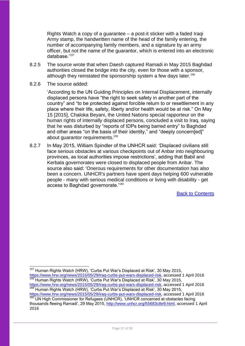Rights Watch a copy of a guarantee – a post-it sticker with a faded Iraqi Army stamp, the handwritten name of the head of the family entering, the number of accompanying family members, and a signature by an army officer, but not the name of the guarantor, which is entered into an electronic database.'<sup>157</sup>

- 8.2.5 The source wrote that when Daesh captured Ramadi in May 2015 Baghdad authorities closed the bridge into the city, even for those with a sponsor, although they reinstated the sponsorship system a few days later.<sup>158</sup>
- 8.2.6 The source added:

'According to the UN [Guiding Principles](http://www.unhcr.org/43ce1cff2.html) on Internal Displacement, internally displaced persons have "the right to seek safety in another part of the country" and "to be protected against forcible return to or resettlement in any place where their life, safety, liberty and/or health would be at risk." On May 15 [2015], Chaloka Beyani, the United Nations special rapporteur on the human rights of internally displaced persons, concluded a visit to Iraq, saying that he was disturbed by "reports of IDPs being barred entry" to Baghdad and other areas "on the basis of their identity," and "deeply concern[ed]" about quarantor requirements.<sup>159</sup>

8.2.7 In May 2015, William Spindler of the UNHCR said: 'Displaced civilians still face serious obstacles at various checkpoints out of Anbar into neighbouring provinces, as local authorities impose restrictions', adding that Babil and Kerbala governorates were closed to displaced people from Anbar. The source also said: 'Onerous requirements for other documentation has also been a concern. UNHCR's partners have spent days helping 600 vulnerable people - many with serious medical conditions or living with disability - get access to Baghdad governorate.'<sup>160</sup>

Back to Contents

[https://www.hrw.org/news/2015/05/29/iraq-curbs-put-wars-displaced-risk,](https://www.hrw.org/news/2015/05/29/iraq-curbs-put-wars-displaced-risk) accessed 1 April 2016 <sup>158</sup> Human Rights Watch (HRW), 'Curbs Put War's Displaced at Risk', 30 May 2015, [https://www.hrw.org/news/2015/05/29/iraq-curbs-put-wars-displaced-risk,](https://www.hrw.org/news/2015/05/29/iraq-curbs-put-wars-displaced-risk) accessed 1 April 2016 <sup>159</sup> Human Rights Watch (HRW), 'Curbs Put War's Displaced at Risk', 30 May 2015,

 $\overline{\phantom{a}}$ <sup>157</sup> Human Rights Watch (HRW), 'Curbs Put War's Displaced at Risk', 30 May 2015,

[https://www.hrw.org/news/2015/05/29/iraq-curbs-put-wars-displaced-risk,](https://www.hrw.org/news/2015/05/29/iraq-curbs-put-wars-displaced-risk) accessed 1 April 2016 <sup>160</sup> UN High Commissioner for Refugees (UNHCR), 'UNHCR concerned at obstacles facing thousands fleeing Ramadi', 29 May 2015, [http://www.unhcr.org/55683c8e9.html,](http://www.unhcr.org/55683c8e9.html) accessed 1 April 2016